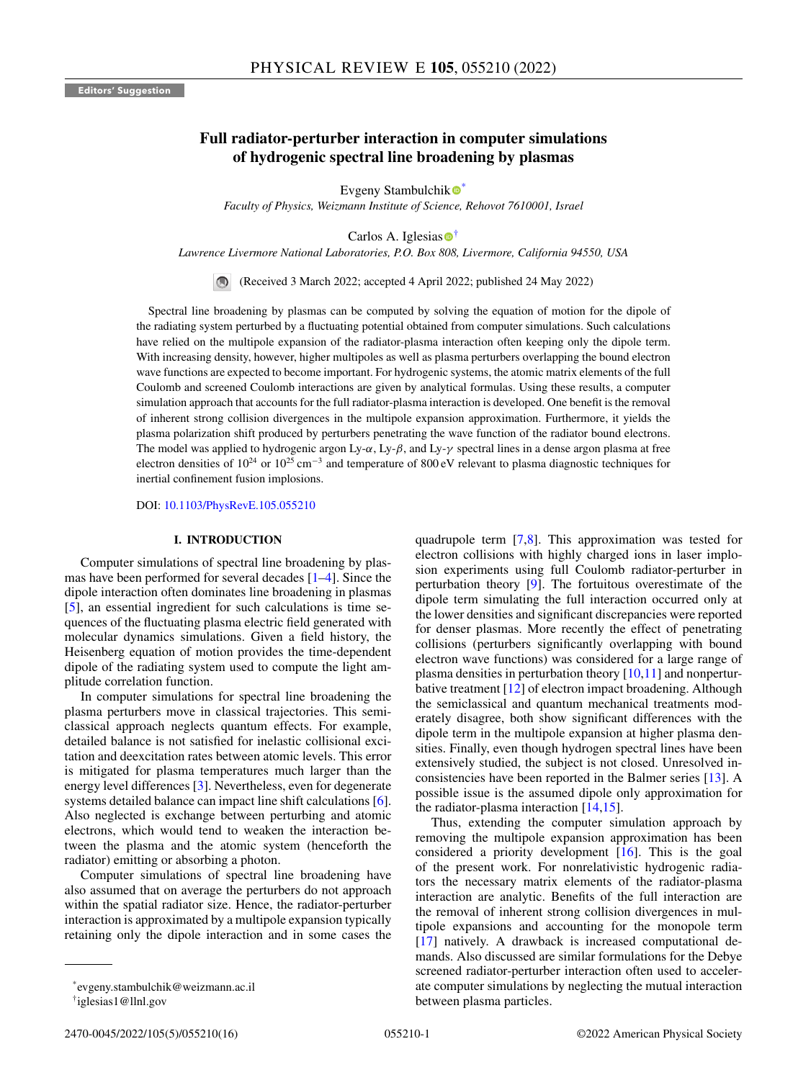# **Full radiator-perturber interaction in computer simulations of hydrogenic spectral line broadening by plasmas**

Evgeny Stambulchi[k](https://orcid.org/0000-0002-7100-8793)  $\bullet^*$ 

*Faculty of Physics, Weizmann Institute of Science, Rehovot 7610001, Israel*

Carlo[s](https://orcid.org/0000-0002-6373-8921) A. Iglesias  $\bullet$ <sup>†</sup>

*Lawrence Livermore National Laboratories, P.O. Box 808, Livermore, California 94550, USA*

(Received 3 March 2022; accepted 4 April 2022; published 24 May 2022)

Spectral line broadening by plasmas can be computed by solving the equation of motion for the dipole of the radiating system perturbed by a fluctuating potential obtained from computer simulations. Such calculations have relied on the multipole expansion of the radiator-plasma interaction often keeping only the dipole term. With increasing density, however, higher multipoles as well as plasma perturbers overlapping the bound electron wave functions are expected to become important. For hydrogenic systems, the atomic matrix elements of the full Coulomb and screened Coulomb interactions are given by analytical formulas. Using these results, a computer simulation approach that accounts for the full radiator-plasma interaction is developed. One benefit is the removal of inherent strong collision divergences in the multipole expansion approximation. Furthermore, it yields the plasma polarization shift produced by perturbers penetrating the wave function of the radiator bound electrons. The model was applied to hydrogenic argon Ly- $\alpha$ , Ly- $\beta$ , and Ly- $\gamma$  spectral lines in a dense argon plasma at free electron densities of  $10^{24}$  or  $10^{25}$  cm<sup>-3</sup> and temperature of 800 eV relevant to plasma diagnostic techniques for inertial confinement fusion implosions.

DOI: [10.1103/PhysRevE.105.055210](https://doi.org/10.1103/PhysRevE.105.055210)

## **I. INTRODUCTION**

Computer simulations of spectral line broadening by plasmas have been performed for several decades [\[1–4\]](#page-14-0). Since the dipole interaction often dominates line broadening in plasmas [\[5\]](#page-14-0), an essential ingredient for such calculations is time sequences of the fluctuating plasma electric field generated with molecular dynamics simulations. Given a field history, the Heisenberg equation of motion provides the time-dependent dipole of the radiating system used to compute the light amplitude correlation function.

In computer simulations for spectral line broadening the plasma perturbers move in classical trajectories. This semiclassical approach neglects quantum effects. For example, detailed balance is not satisfied for inelastic collisional excitation and deexcitation rates between atomic levels. This error is mitigated for plasma temperatures much larger than the energy level differences [\[3\]](#page-14-0). Nevertheless, even for degenerate systems detailed balance can impact line shift calculations [\[6\]](#page-14-0). Also neglected is exchange between perturbing and atomic electrons, which would tend to weaken the interaction between the plasma and the atomic system (henceforth the radiator) emitting or absorbing a photon.

Computer simulations of spectral line broadening have also assumed that on average the perturbers do not approach within the spatial radiator size. Hence, the radiator-perturber interaction is approximated by a multipole expansion typically retaining only the dipole interaction and in some cases the

quadrupole term [\[7,8\]](#page-14-0). This approximation was tested for electron collisions with highly charged ions in laser implosion experiments using full Coulomb radiator-perturber in perturbation theory [\[9\]](#page-14-0). The fortuitous overestimate of the dipole term simulating the full interaction occurred only at the lower densities and significant discrepancies were reported for denser plasmas. More recently the effect of penetrating collisions (perturbers significantly overlapping with bound electron wave functions) was considered for a large range of plasma densities in perturbation theory [\[10,11\]](#page-14-0) and nonperturbative treatment [\[12\]](#page-14-0) of electron impact broadening. Although the semiclassical and quantum mechanical treatments moderately disagree, both show significant differences with the dipole term in the multipole expansion at higher plasma densities. Finally, even though hydrogen spectral lines have been extensively studied, the subject is not closed. Unresolved inconsistencies have been reported in the Balmer series [\[13\]](#page-14-0). A possible issue is the assumed dipole only approximation for the radiator-plasma interaction [\[14,15\]](#page-14-0).

Thus, extending the computer simulation approach by removing the multipole expansion approximation has been considered a priority development [\[16\]](#page-14-0). This is the goal of the present work. For nonrelativistic hydrogenic radiators the necessary matrix elements of the radiator-plasma interaction are analytic. Benefits of the full interaction are the removal of inherent strong collision divergences in multipole expansions and accounting for the monopole term [\[17\]](#page-14-0) natively. A drawback is increased computational demands. Also discussed are similar formulations for the Debye screened radiator-perturber interaction often used to accelerate computer simulations by neglecting the mutual interaction between plasma particles.

<sup>\*</sup>evgeny.stambulchik@weizmann.ac.il

<sup>†</sup>iglesias1@llnl.gov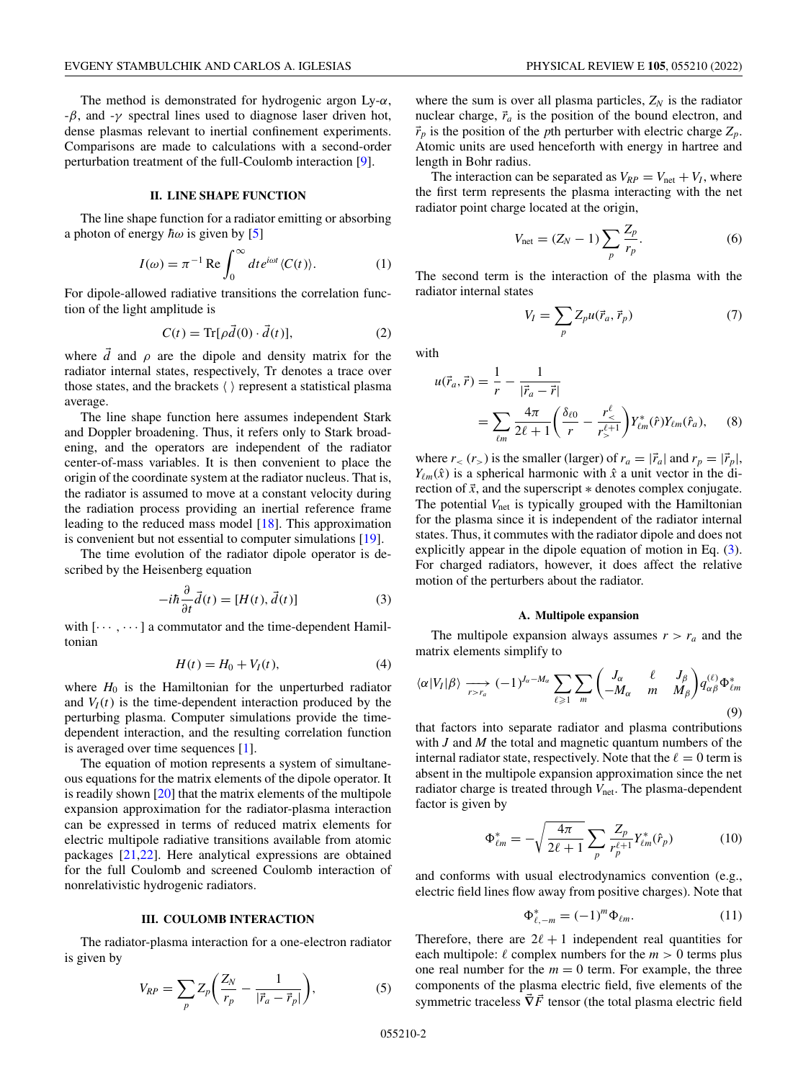<span id="page-1-0"></span>The method is demonstrated for hydrogenic argon Ly- $\alpha$ ,  $-\beta$ , and  $-\gamma$  spectral lines used to diagnose laser driven hot, dense plasmas relevant to inertial confinement experiments. Comparisons are made to calculations with a second-order perturbation treatment of the full-Coulomb interaction [\[9\]](#page-14-0).

## **II. LINE SHAPE FUNCTION**

The line shape function for a radiator emitting or absorbing a photon of energy  $\hbar\omega$  is given by [\[5\]](#page-14-0)

$$
I(\omega) = \pi^{-1} \operatorname{Re} \int_0^\infty dt \, e^{i\omega t} \langle C(t) \rangle.
$$
 (1)

For dipole-allowed radiative transitions the correlation function of the light amplitude is

$$
C(t) = \text{Tr}[\rho \vec{d}(0) \cdot \vec{d}(t)],\tag{2}
$$

where  $\overrightarrow{d}$  and  $\rho$  are the dipole and density matrix for the radiator internal states, respectively, Tr denotes a trace over those states, and the brackets  $\langle \rangle$  represent a statistical plasma average.

The line shape function here assumes independent Stark and Doppler broadening. Thus, it refers only to Stark broadening, and the operators are independent of the radiator center-of-mass variables. It is then convenient to place the origin of the coordinate system at the radiator nucleus. That is, the radiator is assumed to move at a constant velocity during the radiation process providing an inertial reference frame leading to the reduced mass model [\[18\]](#page-14-0). This approximation is convenient but not essential to computer simulations [\[19\]](#page-14-0).

The time evolution of the radiator dipole operator is described by the Heisenberg equation

$$
-i\hbar \frac{\partial}{\partial t} \vec{d}(t) = [H(t), \vec{d}(t)]
$$
 (3)

with  $\left[\cdots, \cdots\right]$  a commutator and the time-dependent Hamiltonian

$$
H(t) = H_0 + V_I(t),\tag{4}
$$

where  $H_0$  is the Hamiltonian for the unperturbed radiator and  $V_I(t)$  is the time-dependent interaction produced by the perturbing plasma. Computer simulations provide the timedependent interaction, and the resulting correlation function is averaged over time sequences [\[1\]](#page-14-0).

The equation of motion represents a system of simultaneous equations for the matrix elements of the dipole operator. It is readily shown [\[20\]](#page-14-0) that the matrix elements of the multipole expansion approximation for the radiator-plasma interaction can be expressed in terms of reduced matrix elements for electric multipole radiative transitions available from atomic packages [\[21,22\]](#page-14-0). Here analytical expressions are obtained for the full Coulomb and screened Coulomb interaction of nonrelativistic hydrogenic radiators.

## **III. COULOMB INTERACTION**

The radiator-plasma interaction for a one-electron radiator is given by

$$
V_{RP} = \sum_{p} Z_p \bigg( \frac{Z_N}{r_p} - \frac{1}{|\vec{r}_a - \vec{r}_p|} \bigg),\tag{5}
$$

where the sum is over all plasma particles,  $Z_N$  is the radiator nuclear charge,  $\vec{r}_a$  is the position of the bound electron, and  $\vec{r}_p$  is the position of the *p*th perturber with electric charge  $Z_p$ . Atomic units are used henceforth with energy in hartree and length in Bohr radius.

The interaction can be separated as  $V_{RP} = V_{net} + V_I$ , where the first term represents the plasma interacting with the net radiator point charge located at the origin,

$$
V_{\text{net}} = (Z_N - 1) \sum_{p} \frac{Z_p}{r_p}.
$$
 (6)

The second term is the interaction of the plasma with the radiator internal states

$$
V_I = \sum_p Z_p u(\vec{r}_a, \vec{r}_p)
$$
\n<sup>(7)</sup>

with

$$
u(\vec{r}_a, \vec{r}) = \frac{1}{r} - \frac{1}{|\vec{r}_a - \vec{r}|} = \sum_{\ell m} \frac{4\pi}{2\ell + 1} \left( \frac{\delta_{\ell 0}}{r} - \frac{r_{<}^{\ell}}{r_{>}^{\ell + 1}} \right) Y_{\ell m}^{*}(\hat{r}) Y_{\ell m}(\hat{r}_a),
$$
(8)

where  $r<sub>lt</sub>(r<sub>gt</sub>)$  is the smaller (larger) of  $r_a = |\vec{r}_a|$  and  $r_p = |\vec{r}_p|$ ,  $Y_{\ell m}(\hat{x})$  is a spherical harmonic with  $\hat{x}$  a unit vector in the direction of  $\vec{x}$ , and the superscript  $*$  denotes complex conjugate. The potential V<sub>net</sub> is typically grouped with the Hamiltonian for the plasma since it is independent of the radiator internal states. Thus, it commutes with the radiator dipole and does not explicitly appear in the dipole equation of motion in Eq. (3). For charged radiators, however, it does affect the relative motion of the perturbers about the radiator.

#### **A. Multipole expansion**

The multipole expansion always assumes  $r > r_a$  and the matrix elements simplify to

$$
\langle \alpha | V_I | \beta \rangle \longrightarrow_{r > r_a} (-1)^{J_\alpha - M_\alpha} \sum_{\ell \geq 1} \sum_m \begin{pmatrix} J_\alpha & \ell & J_\beta \\ -M_\alpha & m & M_\beta \end{pmatrix} q_{\alpha\beta}^{(\ell)} \Phi_{\ell m}^* \tag{9}
$$

that factors into separate radiator and plasma contributions with *J* and *M* the total and magnetic quantum numbers of the internal radiator state, respectively. Note that the  $\ell = 0$  term is absent in the multipole expansion approximation since the net radiator charge is treated through  $V_{\text{net}}$ . The plasma-dependent factor is given by

$$
\Phi_{\ell m}^* = -\sqrt{\frac{4\pi}{2\ell+1}} \sum_p \frac{Z_p}{r_p^{\ell+1}} Y_{\ell m}^*(\hat{r}_p)
$$
(10)

and conforms with usual electrodynamics convention (e.g., electric field lines flow away from positive charges). Note that

$$
\Phi_{\ell,-m}^* = (-1)^m \Phi_{\ell m}.
$$
 (11)

Therefore, there are  $2\ell + 1$  independent real quantities for each multipole:  $\ell$  complex numbers for the  $m > 0$  terms plus one real number for the  $m = 0$  term. For example, the three components of the plasma electric field, five elements of the symmetric traceless  $\vec{\nabla} \vec{F}$  tensor (the total plasma electric field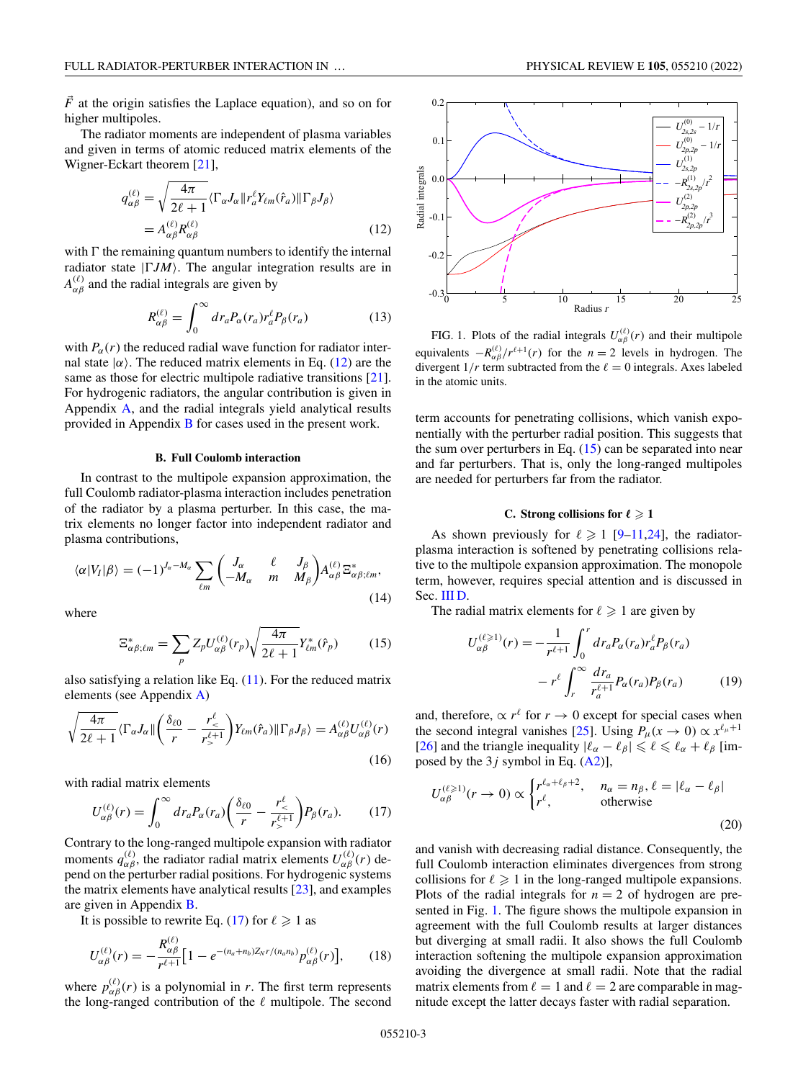<span id="page-2-0"></span> $\vec{F}$  at the origin satisfies the Laplace equation), and so on for higher multipoles.

The radiator moments are independent of plasma variables and given in terms of atomic reduced matrix elements of the Wigner-Eckart theorem [\[21\]](#page-14-0),

$$
q_{\alpha\beta}^{(\ell)} = \sqrt{\frac{4\pi}{2\ell+1}} \langle \Gamma_{\alpha} J_{\alpha} \| r_a^{\ell} Y_{\ell m}(\hat{r}_a) \| \Gamma_{\beta} J_{\beta} \rangle
$$
  
=  $A_{\alpha\beta}^{(\ell)} R_{\alpha\beta}^{(\ell)}$  (12)

with  $\Gamma$  the remaining quantum numbers to identify the internal radiator state  $|\Gamma JM\rangle$ . The angular integration results are in  $A_{\alpha\beta}^{(\ell)}$  and the radial integrals are given by

$$
R_{\alpha\beta}^{(\ell)} = \int_0^\infty dr_a P_\alpha(r_a) r_a^\ell P_\beta(r_a)
$$
 (13)

with  $P_\alpha(r)$  the reduced radial wave function for radiator internal state  $|\alpha\rangle$ . The reduced matrix elements in Eq. (12) are the same as those for electric multipole radiative transitions [\[21\]](#page-14-0). For hydrogenic radiators, the angular contribution is given in Appendix [A,](#page-11-0) and the radial integrals yield analytical results provided in Appendix [B](#page-11-0) for cases used in the present work.

## **B. Full Coulomb interaction**

In contrast to the multipole expansion approximation, the full Coulomb radiator-plasma interaction includes penetration of the radiator by a plasma perturber. In this case, the matrix elements no longer factor into independent radiator and plasma contributions,

$$
\langle \alpha | V_I | \beta \rangle = (-1)^{J_\alpha - M_\alpha} \sum_{\ell m} \begin{pmatrix} J_\alpha & \ell & J_\beta \\ -M_\alpha & m & M_\beta \end{pmatrix} A_{\alpha\beta}^{(\ell)} \Xi_{\alpha\beta;\ell m}^*,
$$
\n(14)

where

$$
\Xi_{\alpha\beta;\ell m}^* = \sum_p Z_p U_{\alpha\beta}^{(\ell)}(r_p) \sqrt{\frac{4\pi}{2\ell+1}} Y_{\ell m}^*(\hat{r}_p) \tag{15}
$$

also satisfying a relation like Eq.  $(11)$ . For the reduced matrix elements (see Appendix [A\)](#page-11-0)

$$
\sqrt{\frac{4\pi}{2\ell+1}}\langle \Gamma_{\alpha}J_{\alpha}\| \left(\frac{\delta_{\ell 0}}{r} - \frac{r_{\leq}^{\ell}}{r_{>}^{\ell+1}}\right) Y_{\ell m}(\hat{r}_a) \|\Gamma_{\beta}J_{\beta}\rangle = A_{\alpha\beta}^{(\ell)} U_{\alpha\beta}^{(\ell)}(r)
$$
\n(16)

with radial matrix elements

$$
U_{\alpha\beta}^{(\ell)}(r) = \int_0^\infty dr_a P_\alpha(r_a) \bigg(\frac{\delta_{\ell 0}}{r} - \frac{r_<^{\ell}}{r_>^{\ell+1}}\bigg) P_\beta(r_a). \tag{17}
$$

Contrary to the long-ranged multipole expansion with radiator moments  $q_{\alpha\beta}^{(\ell)}$ , the radiator radial matrix elements  $U_{\alpha\beta}^{(\ell)}(r)$  depend on the perturber radial positions. For hydrogenic systems the matrix elements have analytical results  $[23]$ , and examples are given in Appendix [B.](#page-11-0)

It is possible to rewrite Eq. (17) for  $\ell \geqslant 1$  as

$$
U_{\alpha\beta}^{(\ell)}(r) = -\frac{R_{\alpha\beta}^{(\ell)}}{r^{\ell+1}} \Big[ 1 - e^{-(n_a + n_b)Z_N r/(n_a n_b)} p_{\alpha\beta}^{(\ell)}(r) \Big], \qquad (18)
$$

where  $p_{\alpha\beta}^{(\ell)}(r)$  is a polynomial in *r*. The first term represents the long-ranged contribution of the  $\ell$  multipole. The second



FIG. 1. Plots of the radial integrals  $U_{\alpha\beta}^{(\ell)}(r)$  and their multipole equivalents  $-R_{\alpha\beta}^{(\ell)}/r^{\ell+1}(r)$  for the  $n=2$  levels in hydrogen. The divergent  $1/r$  term subtracted from the  $\ell = 0$  integrals. Axes labeled in the atomic units.

term accounts for penetrating collisions, which vanish exponentially with the perturber radial position. This suggests that the sum over perturbers in Eq.  $(15)$  can be separated into near and far perturbers. That is, only the long-ranged multipoles are needed for perturbers far from the radiator.

### **C.** Strong collisions for  $\ell \geqslant 1$

As shown previously for  $\ell \geq 1$  [\[9–11,24\]](#page-14-0), the radiatorplasma interaction is softened by penetrating collisions relative to the multipole expansion approximation. The monopole term, however, requires special attention and is discussed in Sec. [III D.](#page-3-0)

The radial matrix elements for  $\ell \geqslant 1$  are given by

$$
U_{\alpha\beta}^{(\ell \geqslant 1)}(r) = -\frac{1}{r^{\ell+1}} \int_0^r dr_a P_{\alpha}(r_a) r_a^{\ell} P_{\beta}(r_a)
$$

$$
-r^{\ell} \int_r^{\infty} \frac{dr_a}{r_a^{\ell+1}} P_{\alpha}(r_a) P_{\beta}(r_a) \tag{19}
$$

and, therefore,  $\propto r^{\ell}$  for  $r \to 0$  except for special cases when the second integral vanishes [\[25\]](#page-14-0). Using  $P_{\mu}(x \to 0) \propto x^{\ell_{\mu}+1}$ [\[26\]](#page-14-0) and the triangle inequality  $|\ell_{\alpha} - \ell_{\beta}| \leq \ell \leq \ell_{\alpha} + \ell_{\beta}$  [imposed by the  $3j$  symbol in Eq.  $(A2)$ ],

$$
U_{\alpha\beta}^{(\ell \geq 1)}(r \to 0) \propto \begin{cases} r^{\ell_{\alpha} + \ell_{\beta} + 2}, & n_{\alpha} = n_{\beta}, \ell = |\ell_{\alpha} - \ell_{\beta}| \\ r^{\ell}, & \text{otherwise} \end{cases}
$$
(20)

and vanish with decreasing radial distance. Consequently, the full Coulomb interaction eliminates divergences from strong collisions for  $\ell \geq 1$  in the long-ranged multipole expansions. Plots of the radial integrals for  $n = 2$  of hydrogen are presented in Fig. 1. The figure shows the multipole expansion in agreement with the full Coulomb results at larger distances but diverging at small radii. It also shows the full Coulomb interaction softening the multipole expansion approximation avoiding the divergence at small radii. Note that the radial matrix elements from  $\ell = 1$  and  $\ell = 2$  are comparable in magnitude except the latter decays faster with radial separation.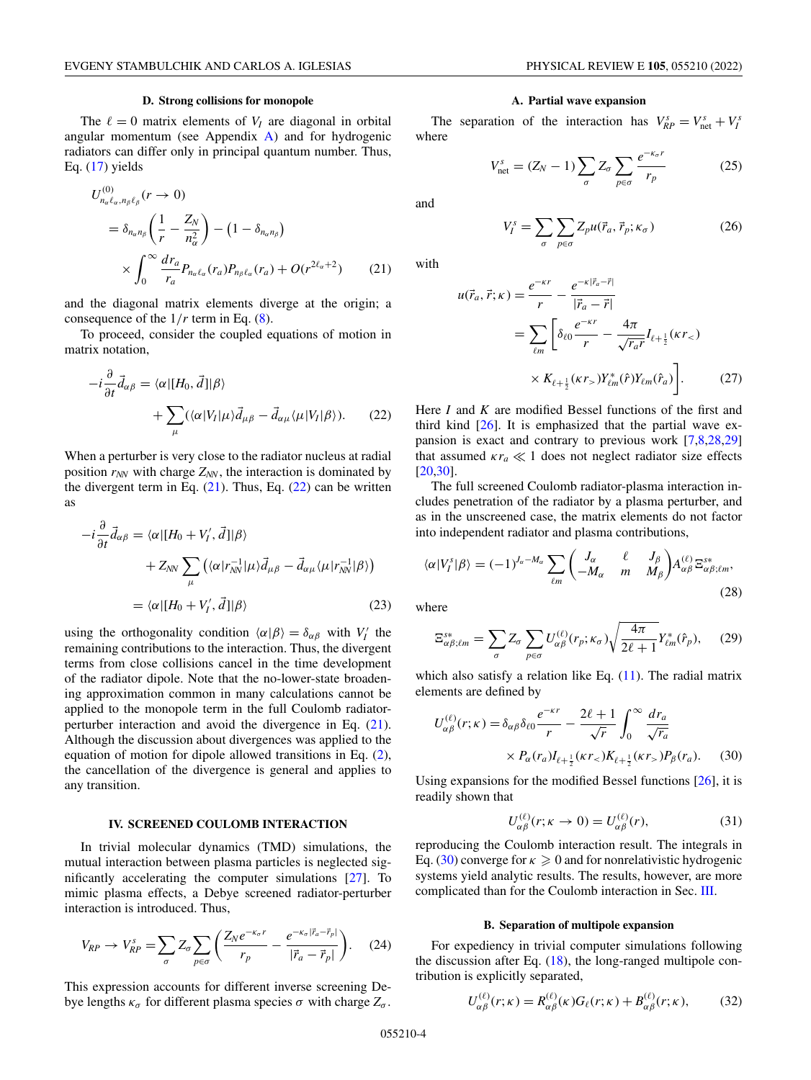#### **D. Strong collisions for monopole**

<span id="page-3-0"></span>The  $\ell = 0$  matrix elements of  $V_I$  are diagonal in orbital angular momentum (see Appendix  $\overrightarrow{A}$ ) and for hydrogenic radiators can differ only in principal quantum number. Thus, Eq.  $(17)$  yields

$$
U_{n_{\alpha}\ell_{\alpha},n_{\beta}\ell_{\beta}}^{(0)}(r \to 0)
$$
  
=  $\delta_{n_{\alpha}n_{\beta}} \left( \frac{1}{r} - \frac{Z_N}{n_{\alpha}^2} \right) - (1 - \delta_{n_{\alpha}n_{\beta}})$   

$$
\times \int_0^{\infty} \frac{dr_a}{r_a} P_{n_{\alpha}\ell_{\alpha}}(r_a) P_{n_{\beta}\ell_{\alpha}}(r_a) + O(r^{2\ell_{\alpha}+2}) \qquad (21)
$$

and the diagonal matrix elements diverge at the origin; a consequence of the 1/*r* term in Eq. [\(8\)](#page-1-0).

To proceed, consider the coupled equations of motion in matrix notation,

$$
-i\frac{\partial}{\partial t}\vec{d}_{\alpha\beta} = \langle \alpha | [H_0, \vec{d}] | \beta \rangle
$$
  
+ 
$$
\sum_{\mu} (\langle \alpha | V_I | \mu \rangle \vec{d}_{\mu\beta} - \vec{d}_{\alpha\mu} \langle \mu | V_I | \beta \rangle ). \tag{22}
$$

When a perturber is very close to the radiator nucleus at radial position  $r_{NN}$  with charge  $Z_{NN}$ , the interaction is dominated by the divergent term in Eq.  $(21)$ . Thus, Eq.  $(22)$  can be written as

$$
-i\frac{\partial}{\partial t}\vec{d}_{\alpha\beta} = \langle \alpha | [H_0 + V'_I, \vec{d}] | \beta \rangle
$$
  
+ 
$$
Z_{NN} \sum_{\mu} \left( \langle \alpha | r_{NN}^{-1} | \mu \rangle \vec{d}_{\mu\beta} - \vec{d}_{\alpha\mu} \langle \mu | r_{NN}^{-1} | \beta \rangle \right)
$$
  
= 
$$
\langle \alpha | [H_0 + V'_I, \vec{d}] | \beta \rangle
$$
 (23)

using the orthogonality condition  $\langle \alpha | \beta \rangle = \delta_{\alpha\beta}$  with  $V'_I$  the remaining contributions to the interaction. Thus, the divergent terms from close collisions cancel in the time development of the radiator dipole. Note that the no-lower-state broadening approximation common in many calculations cannot be applied to the monopole term in the full Coulomb radiatorperturber interaction and avoid the divergence in Eq. (21). Although the discussion about divergences was applied to the equation of motion for dipole allowed transitions in Eq. [\(2\)](#page-1-0), the cancellation of the divergence is general and applies to any transition.

#### **IV. SCREENED COULOMB INTERACTION**

In trivial molecular dynamics (TMD) simulations, the mutual interaction between plasma particles is neglected significantly accelerating the computer simulations [\[27\]](#page-14-0). To mimic plasma effects, a Debye screened radiator-perturber interaction is introduced. Thus,

$$
V_{RP} \rightarrow V_{RP}^s = \sum_{\sigma} Z_{\sigma} \sum_{p \in \sigma} \left( \frac{Z_N e^{-\kappa_{\sigma} r}}{r_p} - \frac{e^{-\kappa_{\sigma} |\vec{r}_a - \vec{r}_p|}}{|\vec{r}_a - \vec{r}_p|} \right). \tag{24}
$$

This expression accounts for different inverse screening Debye lengths  $\kappa_{\sigma}$  for different plasma species  $\sigma$  with charge  $Z_{\sigma}$ .

#### **A. Partial wave expansion**

The separation of the interaction has  $V_{RP}^s = V_{\text{net}}^s + V_I^s$ where

$$
V_{\text{net}}^s = (Z_N - 1) \sum_{\sigma} Z_{\sigma} \sum_{p \in \sigma} \frac{e^{-\kappa_{\sigma} r}}{r_p} \tag{25}
$$

and

$$
V_I^s = \sum_{\sigma} \sum_{p \in \sigma} Z_p u(\vec{r}_a, \vec{r}_p; \kappa_{\sigma})
$$
 (26)

with

$$
u(\vec{r}_a, \vec{r}; \kappa) = \frac{e^{-\kappa r}}{r} - \frac{e^{-\kappa |\vec{r}_a - \vec{r}|}}{|\vec{r}_a - \vec{r}|}
$$
  

$$
= \sum_{\ell m} \left[ \delta_{\ell 0} \frac{e^{-\kappa r}}{r} - \frac{4\pi}{\sqrt{r_a r}} I_{\ell + \frac{1}{2}}(\kappa r_<)
$$
  

$$
\times K_{\ell + \frac{1}{2}}(\kappa r_>) Y_{\ell m}^*(\hat{r}) Y_{\ell m}(\hat{r}_a) \right].
$$
 (27)

Here *I* and *K* are modified Bessel functions of the first and third kind [\[26\]](#page-14-0). It is emphasized that the partial wave expansion is exact and contrary to previous work [\[7,8,28,29\]](#page-14-0) that assumed  $\kappa r_a \ll 1$  does not neglect radiator size effects [\[20,30\]](#page-14-0).

The full screened Coulomb radiator-plasma interaction includes penetration of the radiator by a plasma perturber, and as in the unscreened case, the matrix elements do not factor into independent radiator and plasma contributions,

$$
\langle \alpha | V_I^s | \beta \rangle = (-1)^{J_\alpha - M_\alpha} \sum_{\ell m} \begin{pmatrix} J_\alpha & \ell & J_\beta \\ -M_\alpha & m & M_\beta \end{pmatrix} A_{\alpha\beta}^{(\ell)} \Xi_{\alpha\beta;\ell m}^{s*},
$$
\n(28)

where

$$
\Xi_{\alpha\beta;\ell m}^{s*} = \sum_{\sigma} Z_{\sigma} \sum_{p \in \sigma} U_{\alpha\beta}^{(\ell)}(r_p; \kappa_\sigma) \sqrt{\frac{4\pi}{2\ell+1}} Y_{\ell m}^*(\hat{r}_p), \quad (29)
$$

which also satisfy a relation like Eq.  $(11)$ . The radial matrix elements are defined by

$$
U_{\alpha\beta}^{(\ell)}(r;\kappa) = \delta_{\alpha\beta}\delta_{\ell 0}\frac{e^{-\kappa r}}{r} - \frac{2\ell+1}{\sqrt{r}}\int_0^\infty \frac{dr_a}{\sqrt{r_a}}\n\times P_\alpha(r_a)I_{\ell+\frac{1}{2}}(\kappa r_<)K_{\ell+\frac{1}{2}}(\kappa r_>)P_\beta(r_a).
$$
 (30)

Using expansions for the modified Bessel functions  $[26]$ , it is readily shown that

$$
U_{\alpha\beta}^{(\ell)}(r;\kappa \to 0) = U_{\alpha\beta}^{(\ell)}(r),\tag{31}
$$

reproducing the Coulomb interaction result. The integrals in Eq. (30) converge for  $\kappa \geqslant 0$  and for nonrelativistic hydrogenic systems yield analytic results. The results, however, are more complicated than for the Coulomb interaction in Sec. [III.](#page-1-0)

### **B. Separation of multipole expansion**

For expediency in trivial computer simulations following the discussion after Eq.  $(18)$ , the long-ranged multipole contribution is explicitly separated,

$$
U_{\alpha\beta}^{(\ell)}(r;\kappa) = R_{\alpha\beta}^{(\ell)}(\kappa)G_{\ell}(r;\kappa) + B_{\alpha\beta}^{(\ell)}(r;\kappa),\tag{32}
$$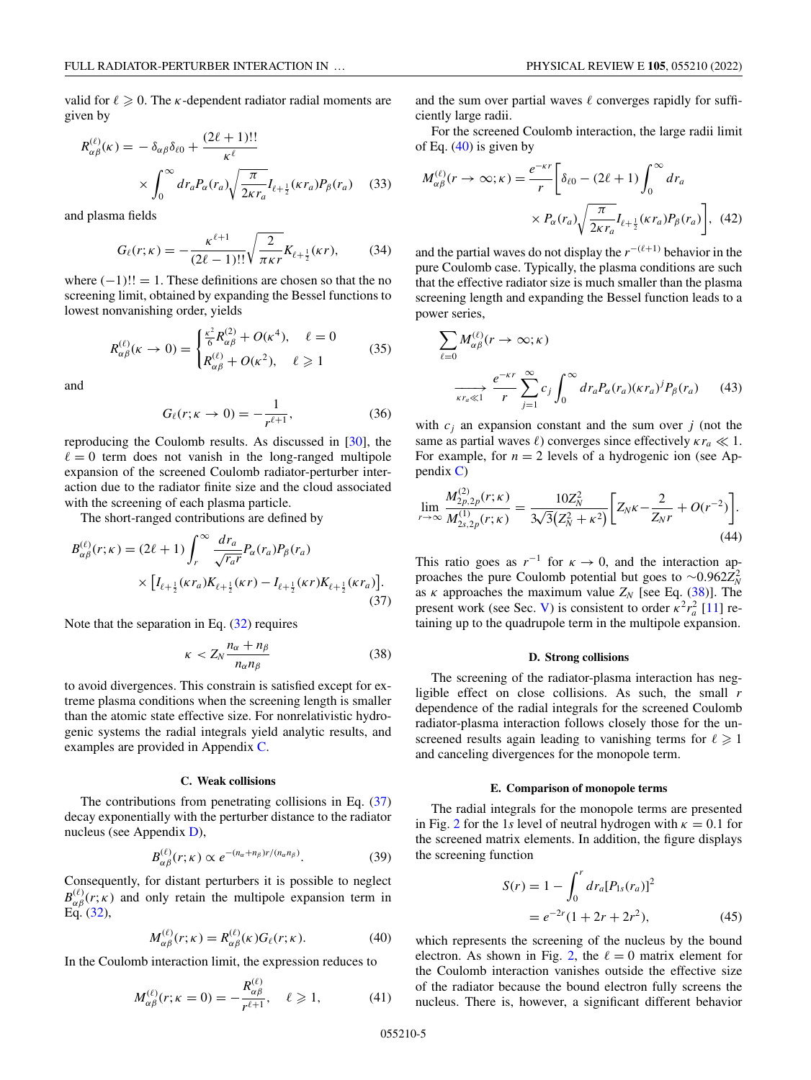<span id="page-4-0"></span>valid for  $\ell \geqslant 0$ . The *k*-dependent radiator radial moments are given by

$$
R_{\alpha\beta}^{(\ell)}(\kappa) = -\delta_{\alpha\beta}\delta_{\ell 0} + \frac{(2\ell+1)!!}{\kappa^{\ell}}
$$

$$
\times \int_0^\infty dr_a P_\alpha(r_a) \sqrt{\frac{\pi}{2\kappa r_a}} I_{\ell+\frac{1}{2}}(\kappa r_a) P_\beta(r_a) \quad (33)
$$

and plasma fields

$$
G_{\ell}(r; \kappa) = -\frac{\kappa^{\ell+1}}{(2\ell-1)!!} \sqrt{\frac{2}{\pi \kappa r}} K_{\ell+\frac{1}{2}}(\kappa r), \tag{34}
$$

where  $(-1)!! = 1$ . These definitions are chosen so that the no screening limit, obtained by expanding the Bessel functions to lowest nonvanishing order, yields

$$
R_{\alpha\beta}^{(\ell)}(\kappa \to 0) = \begin{cases} \frac{\kappa^2}{6} R_{\alpha\beta}^{(2)} + O(\kappa^4), & \ell = 0\\ R_{\alpha\beta}^{(\ell)} + O(\kappa^2), & \ell \ge 1 \end{cases}
$$
 (35)

and

$$
G_{\ell}(r; \kappa \to 0) = -\frac{1}{r^{\ell+1}},
$$
\n(36)

reproducing the Coulomb results. As discussed in [\[30\]](#page-14-0), the  $\ell = 0$  term does not vanish in the long-ranged multipole expansion of the screened Coulomb radiator-perturber interaction due to the radiator finite size and the cloud associated with the screening of each plasma particle.

The short-ranged contributions are defined by

$$
B_{\alpha\beta}^{(\ell)}(r;\kappa) = (2\ell+1) \int_{r}^{\infty} \frac{dr_a}{\sqrt{r_a r}} P_{\alpha}(r_a) P_{\beta}(r_a)
$$

$$
\times \left[ I_{\ell+\frac{1}{2}}(\kappa r_a) K_{\ell+\frac{1}{2}}(\kappa r) - I_{\ell+\frac{1}{2}}(\kappa r) K_{\ell+\frac{1}{2}}(\kappa r_a) \right].
$$
(37)

Note that the separation in Eq.  $(32)$  requires

$$
\kappa < Z_N \frac{n_\alpha + n_\beta}{n_\alpha n_\beta} \tag{38}
$$

to avoid divergences. This constrain is satisfied except for extreme plasma conditions when the screening length is smaller than the atomic state effective size. For nonrelativistic hydrogenic systems the radial integrals yield analytic results, and examples are provided in Appendix [C.](#page-12-0)

### **C. Weak collisions**

The contributions from penetrating collisions in Eq. (37) decay exponentially with the perturber distance to the radiator nucleus (see Appendix [D\)](#page-13-0),

$$
B_{\alpha\beta}^{(\ell)}(r;\kappa) \propto e^{-(n_{\alpha}+n_{\beta})r/(n_{\alpha}n_{\beta})}.
$$
 (39)

Consequently, for distant perturbers it is possible to neglect  $B_{\alpha\beta}^{(\ell)}(r;\kappa)$  and only retain the multipole expansion term in Eq. [\(32\)](#page-3-0),

$$
M_{\alpha\beta}^{(\ell)}(r;\kappa) = R_{\alpha\beta}^{(\ell)}(\kappa)G_{\ell}(r;\kappa).
$$
 (40)

In the Coulomb interaction limit, the expression reduces to

$$
M_{\alpha\beta}^{(\ell)}(r; \kappa = 0) = -\frac{R_{\alpha\beta}^{(\ell)}}{r^{\ell+1}}, \quad \ell \ge 1,
$$
 (41)

and the sum over partial waves  $\ell$  converges rapidly for sufficiently large radii.

For the screened Coulomb interaction, the large radii limit of Eq.  $(40)$  is given by

$$
M_{\alpha\beta}^{(\ell)}(r \to \infty; \kappa) = \frac{e^{-\kappa r}}{r} \bigg[ \delta_{\ell 0} - (2\ell + 1) \int_0^\infty dr_a
$$
  
 
$$
\times P_\alpha(r_a) \sqrt{\frac{\pi}{2\kappa r_a}} I_{\ell + \frac{1}{2}}(\kappa r_a) P_\beta(r_a) \bigg], \quad (42)
$$

and the partial waves do not display the  $r^{-(\ell+1)}$  behavior in the pure Coulomb case. Typically, the plasma conditions are such that the effective radiator size is much smaller than the plasma screening length and expanding the Bessel function leads to a power series,

$$
\sum_{\ell=0} M_{\alpha\beta}^{(\ell)}(r \to \infty; \kappa)
$$
\n
$$
\xrightarrow[\kappa r_a \ll 1]{e^{-\kappa r}} \sum_{j=1}^{\infty} c_j \int_0^{\infty} dr_a P_{\alpha}(r_a) (\kappa r_a)^j P_{\beta}(r_a) \qquad (43)
$$

with  $c_i$  an expansion constant and the sum over  $j$  (not the same as partial waves  $\ell$ ) converges since effectively  $\kappa r_a \ll 1$ . For example, for  $n = 2$  levels of a hydrogenic ion (see Appendix  $C$ )

$$
\lim_{r \to \infty} \frac{M_{2p,2p}^{(2)}(r;\kappa)}{M_{2s,2p}^{(1)}(r;\kappa)} = \frac{10Z_N^2}{3\sqrt{3}(Z_N^2 + \kappa^2)} \bigg[ Z_N \kappa - \frac{2}{Z_N r} + O(r^{-2}) \bigg].
$$
\n(44)

This ratio goes as  $r^{-1}$  for  $\kappa \to 0$ , and the interaction approaches the pure Coulomb potential but goes to  $\sim$ 0.962 $Z_N^2$ as  $\kappa$  approaches the maximum value  $Z_N$  [see Eq. (38)]. The present work (see Sec. [V\)](#page-5-0) is consistent to order  $\kappa^2 r_a^2$  [\[11\]](#page-14-0) retaining up to the quadrupole term in the multipole expansion.

#### **D. Strong collisions**

The screening of the radiator-plasma interaction has negligible effect on close collisions. As such, the small *r* dependence of the radial integrals for the screened Coulomb radiator-plasma interaction follows closely those for the unscreened results again leading to vanishing terms for  $\ell \geq 1$ and canceling divergences for the monopole term.

### **E. Comparison of monopole terms**

The radial integrals for the monopole terms are presented in Fig. [2](#page-5-0) for the 1*s* level of neutral hydrogen with  $\kappa = 0.1$  for the screened matrix elements. In addition, the figure displays the screening function

$$
S(r) = 1 - \int_0^r dr_a [P_{1s}(r_a)]^2
$$
  
=  $e^{-2r} (1 + 2r + 2r^2)$ , (45)

which represents the screening of the nucleus by the bound electron. As shown in Fig. [2,](#page-5-0) the  $\ell = 0$  matrix element for the Coulomb interaction vanishes outside the effective size of the radiator because the bound electron fully screens the nucleus. There is, however, a significant different behavior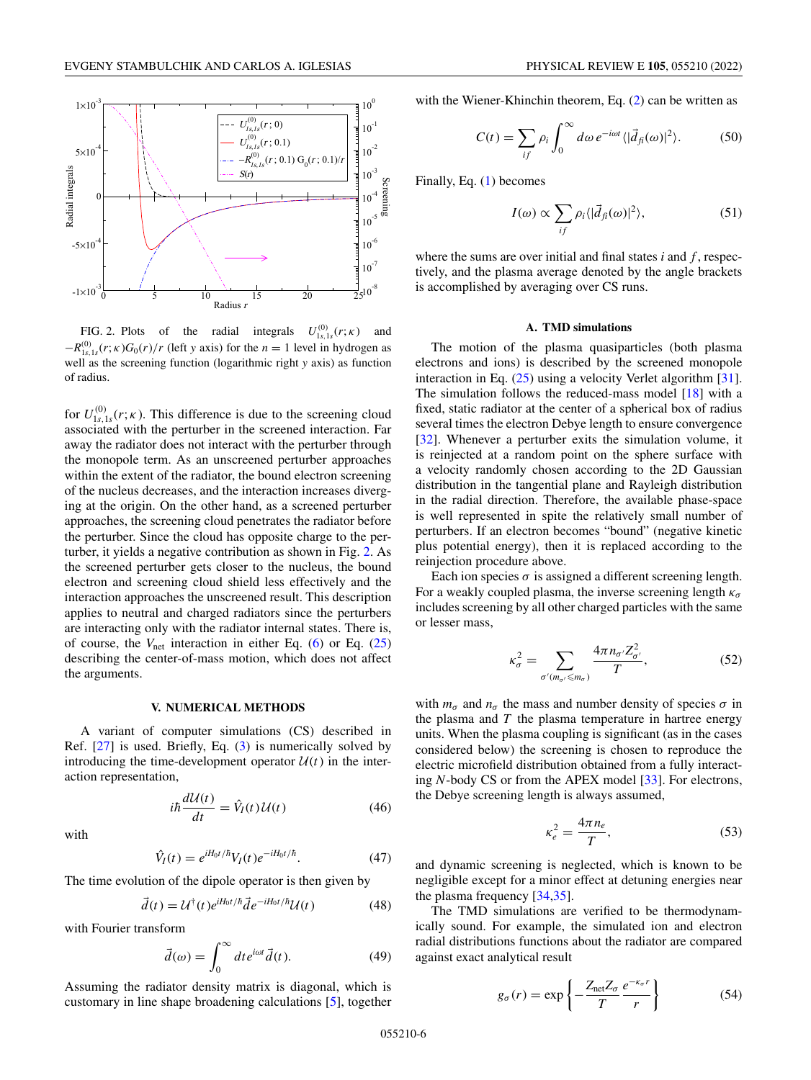<span id="page-5-0"></span>

FIG. 2. Plots of the radial integrals  $U_{1s,1s}^{(0)}(r;\kappa)$  and  $-R_{1s,1s}^{(0)}(r;\kappa)G_0(r)/r$  (left *y* axis) for the *n* = 1 level in hydrogen as well as the screening function (logarithmic right *y* axis) as function of radius.

for  $U^{(0)}_{1s,1s}(r;\kappa)$ . This difference is due to the screening cloud associated with the perturber in the screened interaction. Far away the radiator does not interact with the perturber through the monopole term. As an unscreened perturber approaches within the extent of the radiator, the bound electron screening of the nucleus decreases, and the interaction increases diverging at the origin. On the other hand, as a screened perturber approaches, the screening cloud penetrates the radiator before the perturber. Since the cloud has opposite charge to the perturber, it yields a negative contribution as shown in Fig. 2. As the screened perturber gets closer to the nucleus, the bound electron and screening cloud shield less effectively and the interaction approaches the unscreened result. This description applies to neutral and charged radiators since the perturbers are interacting only with the radiator internal states. There is, of course, the  $V_{\text{net}}$  interaction in either Eq. [\(6\)](#page-1-0) or Eq. [\(25\)](#page-3-0) describing the center-of-mass motion, which does not affect the arguments.

### **V. NUMERICAL METHODS**

A variant of computer simulations (CS) described in Ref. [\[27\]](#page-14-0) is used. Briefly, Eq. [\(3\)](#page-1-0) is numerically solved by introducing the time-development operator  $U(t)$  in the interaction representation,

$$
i\hbar \frac{d\mathcal{U}(t)}{dt} = \hat{V}_I(t)\mathcal{U}(t)
$$
\n(46)

with

$$
\hat{V}_I(t) = e^{iH_0 t/\hbar} V_I(t) e^{-iH_0 t/\hbar}.
$$
\n(47)

The time evolution of the dipole operator is then given by

$$
\vec{d}(t) = \mathcal{U}^{\dagger}(t)e^{iH_0t/\hbar}\vec{d}e^{-iH_0t/\hbar}\mathcal{U}(t)
$$
\n(48)

with Fourier transform

$$
\vec{d}(\omega) = \int_0^\infty dt e^{i\omega t} \vec{d}(t). \tag{49}
$$

Assuming the radiator density matrix is diagonal, which is customary in line shape broadening calculations [\[5\]](#page-14-0), together

with the Wiener-Khinchin theorem, Eq. [\(2\)](#page-1-0) can be written as

$$
C(t) = \sum_{if} \rho_i \int_0^\infty d\omega \, e^{-i\omega t} \langle |\vec{d}_{fi}(\omega)|^2 \rangle. \tag{50}
$$

Finally, Eq. [\(1\)](#page-1-0) becomes

$$
I(\omega) \propto \sum_{if} \rho_i \langle |\vec{d}_{fi}(\omega)|^2 \rangle, \tag{51}
$$

where the sums are over initial and final states *i* and *f* , respectively, and the plasma average denoted by the angle brackets is accomplished by averaging over CS runs.

#### **A. TMD simulations**

The motion of the plasma quasiparticles (both plasma electrons and ions) is described by the screened monopole interaction in Eq. [\(25\)](#page-3-0) using a velocity Verlet algorithm [\[31\]](#page-14-0). The simulation follows the reduced-mass model [\[18\]](#page-14-0) with a fixed, static radiator at the center of a spherical box of radius several times the electron Debye length to ensure convergence [\[32\]](#page-14-0). Whenever a perturber exits the simulation volume, it is reinjected at a random point on the sphere surface with a velocity randomly chosen according to the 2D Gaussian distribution in the tangential plane and Rayleigh distribution in the radial direction. Therefore, the available phase-space is well represented in spite the relatively small number of perturbers. If an electron becomes "bound" (negative kinetic plus potential energy), then it is replaced according to the reinjection procedure above.

Each ion species  $\sigma$  is assigned a different screening length. For a weakly coupled plasma, the inverse screening length  $\kappa_{\sigma}$ includes screening by all other charged particles with the same or lesser mass,

$$
\kappa_{\sigma}^{2} = \sum_{\sigma'(m_{\sigma'} \le m_{\sigma})} \frac{4\pi n_{\sigma'} Z_{\sigma'}^{2}}{T},\tag{52}
$$

with  $m_{\sigma}$  and  $n_{\sigma}$  the mass and number density of species  $\sigma$  in the plasma and *T* the plasma temperature in hartree energy units. When the plasma coupling is significant (as in the cases considered below) the screening is chosen to reproduce the electric microfield distribution obtained from a fully interacting *N*-body CS or from the APEX model [\[33\]](#page-14-0). For electrons, the Debye screening length is always assumed,

$$
\kappa_e^2 = \frac{4\pi n_e}{T},\tag{53}
$$

and dynamic screening is neglected, which is known to be negligible except for a minor effect at detuning energies near the plasma frequency [\[34](#page-14-0)[,35\]](#page-15-0).

The TMD simulations are verified to be thermodynamically sound. For example, the simulated ion and electron radial distributions functions about the radiator are compared against exact analytical result

$$
g_{\sigma}(r) = \exp\left\{-\frac{Z_{\text{net}}Z_{\sigma}}{T}\frac{e^{-\kappa_{\sigma}r}}{r}\right\} \tag{54}
$$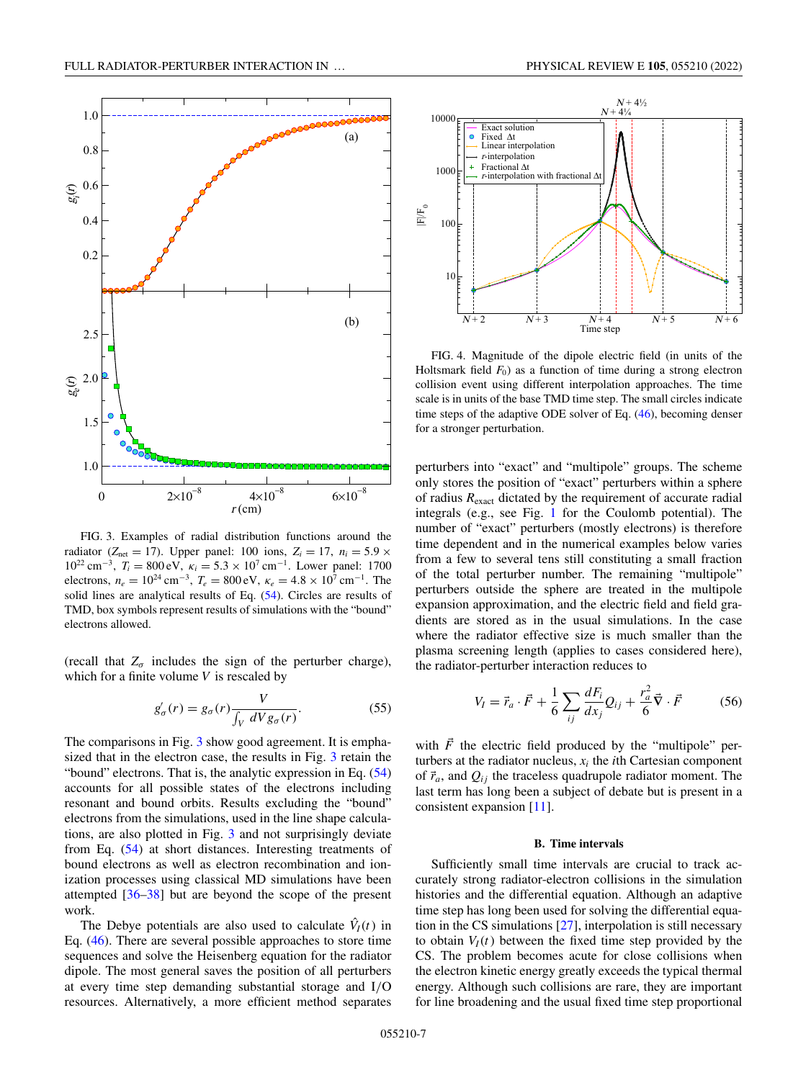<span id="page-6-0"></span>

FIG. 3. Examples of radial distribution functions around the radiator ( $Z_{\text{net}} = 17$ ). Upper panel: 100 ions,  $Z_i = 17$ ,  $n_i = 5.9 \times$ 10<sup>22</sup> cm<sup>−</sup>3, *Ti* = 800 eV, κ*<sup>i</sup>* = 5.3 × 10<sup>7</sup> cm<sup>−</sup>1. Lower panel: 1700 electrons,  $n_e = 10^{24}$  cm<sup>-3</sup>,  $T_e = 800$  eV,  $\kappa_e = 4.8 \times 10^7$  cm<sup>-1</sup>. The solid lines are analytical results of Eq. [\(54\)](#page-5-0). Circles are results of TMD, box symbols represent results of simulations with the "bound" electrons allowed.

(recall that  $Z_{\sigma}$  includes the sign of the perturber charge), which for a finite volume *V* is rescaled by

$$
g'_{\sigma}(r) = g_{\sigma}(r) \frac{V}{\int_{V} dV g_{\sigma}(r)}.
$$
 (55)

The comparisons in Fig. 3 show good agreement. It is emphasized that in the electron case, the results in Fig. 3 retain the "bound" electrons. That is, the analytic expression in Eq.  $(54)$ accounts for all possible states of the electrons including resonant and bound orbits. Results excluding the "bound" electrons from the simulations, used in the line shape calculations, are also plotted in Fig. 3 and not surprisingly deviate from Eq. [\(54\)](#page-5-0) at short distances. Interesting treatments of bound electrons as well as electron recombination and ionization processes using classical MD simulations have been attempted  $[36-38]$  but are beyond the scope of the present work.

The Debye potentials are also used to calculate  $\hat{V}_I(t)$  in Eq. [\(46\)](#page-5-0). There are several possible approaches to store time sequences and solve the Heisenberg equation for the radiator dipole. The most general saves the position of all perturbers at every time step demanding substantial storage and I/O resources. Alternatively, a more efficient method separates



FIG. 4. Magnitude of the dipole electric field (in units of the Holtsmark field  $F_0$ ) as a function of time during a strong electron collision event using different interpolation approaches. The time scale is in units of the base TMD time step. The small circles indicate time steps of the adaptive ODE solver of Eq. [\(46\)](#page-5-0), becoming denser for a stronger perturbation.

perturbers into "exact" and "multipole" groups. The scheme only stores the position of "exact" perturbers within a sphere of radius *R*exact dictated by the requirement of accurate radial integrals (e.g., see Fig. [1](#page-2-0) for the Coulomb potential). The number of "exact" perturbers (mostly electrons) is therefore time dependent and in the numerical examples below varies from a few to several tens still constituting a small fraction of the total perturber number. The remaining "multipole" perturbers outside the sphere are treated in the multipole expansion approximation, and the electric field and field gradients are stored as in the usual simulations. In the case where the radiator effective size is much smaller than the plasma screening length (applies to cases considered here), the radiator-perturber interaction reduces to

$$
V_I = \vec{r}_a \cdot \vec{F} + \frac{1}{6} \sum_{ij} \frac{dF_i}{dx_j} Q_{ij} + \frac{r_a^2}{6} \vec{\nabla} \cdot \vec{F}
$$
 (56)

with  $\vec{F}$  the electric field produced by the "multipole" perturbers at the radiator nucleus,  $x_i$  the *i*th Cartesian component of  $\vec{r}_a$ , and  $Q_{ij}$  the traceless quadrupole radiator moment. The last term has long been a subject of debate but is present in a consistent expansion [\[11\]](#page-14-0).

### **B. Time intervals**

Sufficiently small time intervals are crucial to track accurately strong radiator-electron collisions in the simulation histories and the differential equation. Although an adaptive time step has long been used for solving the differential equation in the CS simulations [\[27\]](#page-14-0), interpolation is still necessary to obtain  $V_I(t)$  between the fixed time step provided by the CS. The problem becomes acute for close collisions when the electron kinetic energy greatly exceeds the typical thermal energy. Although such collisions are rare, they are important for line broadening and the usual fixed time step proportional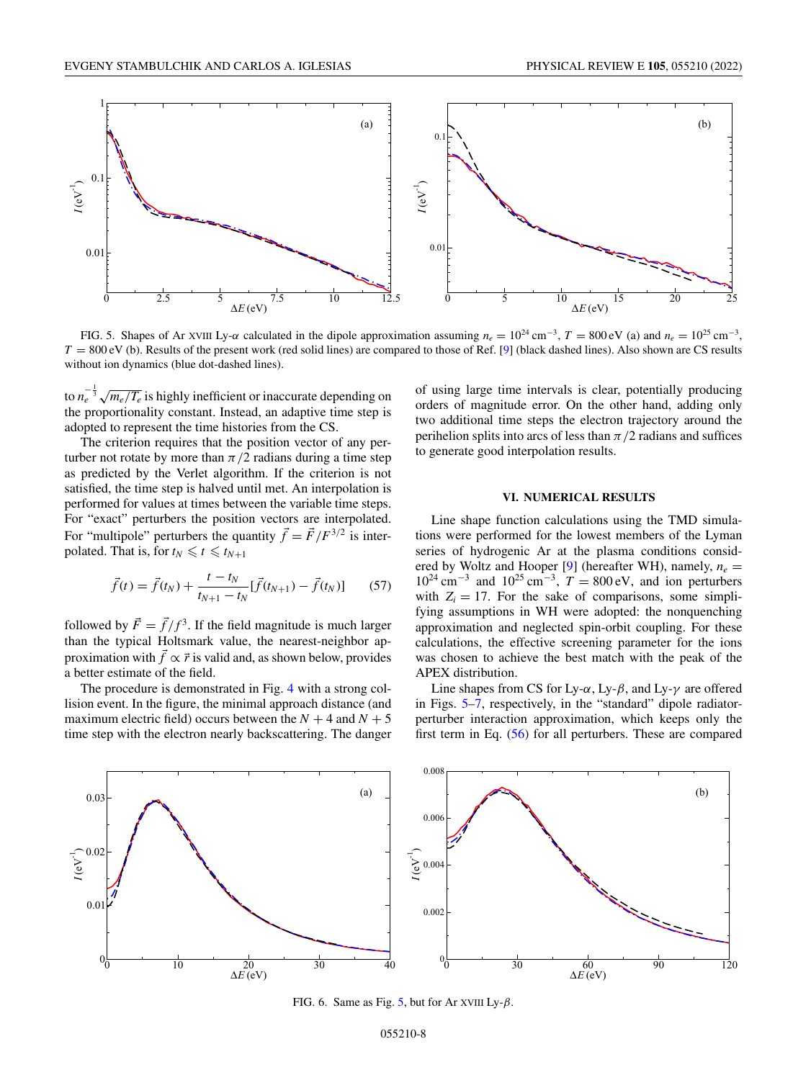<span id="page-7-0"></span>

FIG. 5. Shapes of Ar XVIII Ly- $\alpha$  calculated in the dipole approximation assuming  $n_e = 10^{24}$  cm<sup>-3</sup>,  $T = 800$  eV (a) and  $n_e = 10^{25}$  cm<sup>-3</sup>,  $T = 800 \text{ eV}$  (b). Results of the present work (red solid lines) are compared to those of Ref. [\[9\]](#page-14-0) (black dashed lines). Also shown are CS results without ion dynamics (blue dot-dashed lines).

to  $n_e^{-\frac{1}{3}}\sqrt{m_e/T_e}$  is highly inefficient or inaccurate depending on the proportionality constant. Instead, an adaptive time step is adopted to represent the time histories from the CS.

The criterion requires that the position vector of any perturber not rotate by more than  $\pi/2$  radians during a time step as predicted by the Verlet algorithm. If the criterion is not satisfied, the time step is halved until met. An interpolation is performed for values at times between the variable time steps. For "exact" perturbers the position vectors are interpolated. For "multipole" perturbers the quantity  $\vec{f} = \vec{F}/F^{3/2}$  is interpolated. That is, for  $t_N \leq t \leq t_{N+1}$ 

$$
\vec{f}(t) = \vec{f}(t_N) + \frac{t - t_N}{t_{N+1} - t_N} [\vec{f}(t_{N+1}) - \vec{f}(t_N)] \tag{57}
$$

followed by  $\vec{F} = \vec{f}/f^3$ . If the field magnitude is much larger than the typical Holtsmark value, the nearest-neighbor approximation with  $\vec{f} \propto \vec{r}$  is valid and, as shown below, provides a better estimate of the field.

The procedure is demonstrated in Fig. [4](#page-6-0) with a strong collision event. In the figure, the minimal approach distance (and maximum electric field) occurs between the  $N + 4$  and  $N + 5$ time step with the electron nearly backscattering. The danger of using large time intervals is clear, potentially producing orders of magnitude error. On the other hand, adding only two additional time steps the electron trajectory around the perihelion splits into arcs of less than  $\pi/2$  radians and suffices to generate good interpolation results.

#### **VI. NUMERICAL RESULTS**

Line shape function calculations using the TMD simulations were performed for the lowest members of the Lyman series of hydrogenic Ar at the plasma conditions consid-ered by Woltz and Hooper [\[9\]](#page-14-0) (hereafter WH), namely,  $n_e$  =  $10^{24}$  cm<sup>-3</sup> and  $10^{25}$  cm<sup>-3</sup>,  $T = 800$  eV, and ion perturbers with  $Z_i = 17$ . For the sake of comparisons, some simplifying assumptions in WH were adopted: the nonquenching approximation and neglected spin-orbit coupling. For these calculations, the effective screening parameter for the ions was chosen to achieve the best match with the peak of the APEX distribution.

Line shapes from CS for Ly- $\alpha$ , Ly- $\beta$ , and Ly- $\gamma$  are offered in Figs. 5[–7,](#page-8-0) respectively, in the "standard" dipole radiatorperturber interaction approximation, which keeps only the first term in Eq. [\(56\)](#page-6-0) for all perturbers. These are compared



FIG. 6. Same as Fig. 5, but for Ar XVIII Ly- $\beta$ .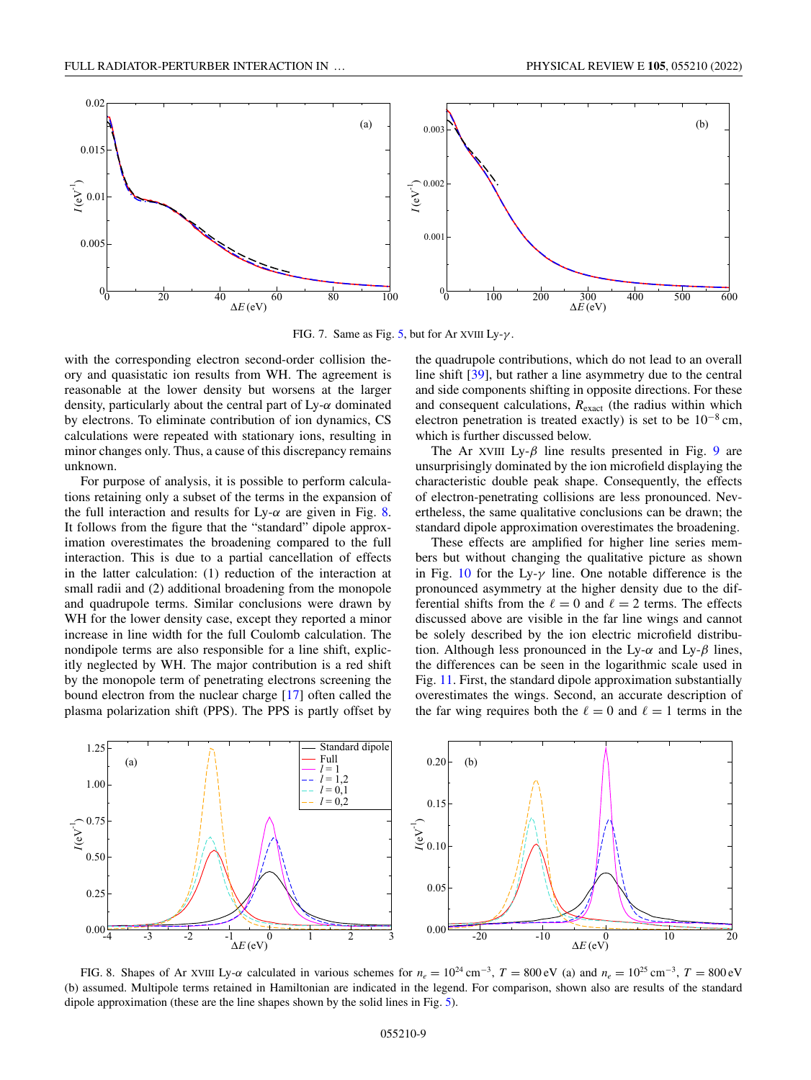<span id="page-8-0"></span>

FIG. 7. Same as Fig. [5,](#page-7-0) but for Ar XVIII Ly- $\gamma$ .

with the corresponding electron second-order collision theory and quasistatic ion results from WH. The agreement is reasonable at the lower density but worsens at the larger density, particularly about the central part of  $Ly-\alpha$  dominated by electrons. To eliminate contribution of ion dynamics, CS calculations were repeated with stationary ions, resulting in minor changes only. Thus, a cause of this discrepancy remains unknown.

For purpose of analysis, it is possible to perform calculations retaining only a subset of the terms in the expansion of the full interaction and results for Ly- $\alpha$  are given in Fig. 8. It follows from the figure that the "standard" dipole approximation overestimates the broadening compared to the full interaction. This is due to a partial cancellation of effects in the latter calculation: (1) reduction of the interaction at small radii and (2) additional broadening from the monopole and quadrupole terms. Similar conclusions were drawn by WH for the lower density case, except they reported a minor increase in line width for the full Coulomb calculation. The nondipole terms are also responsible for a line shift, explicitly neglected by WH. The major contribution is a red shift by the monopole term of penetrating electrons screening the bound electron from the nuclear charge [\[17\]](#page-14-0) often called the plasma polarization shift (PPS). The PPS is partly offset by

the quadrupole contributions, which do not lead to an overall line shift [\[39\]](#page-15-0), but rather a line asymmetry due to the central and side components shifting in opposite directions. For these and consequent calculations,  $R_{\text{exact}}$  (the radius within which electron penetration is treated exactly) is set to be  $10^{-8}$  cm, which is further discussed below.

The Ar XVIII Ly- $\beta$  line results presented in Fig. [9](#page-9-0) are unsurprisingly dominated by the ion microfield displaying the characteristic double peak shape. Consequently, the effects of electron-penetrating collisions are less pronounced. Nevertheless, the same qualitative conclusions can be drawn; the standard dipole approximation overestimates the broadening.

These effects are amplified for higher line series members but without changing the qualitative picture as shown in Fig. [10](#page-9-0) for the Ly- $\gamma$  line. One notable difference is the pronounced asymmetry at the higher density due to the differential shifts from the  $\ell = 0$  and  $\ell = 2$  terms. The effects discussed above are visible in the far line wings and cannot be solely described by the ion electric microfield distribution. Although less pronounced in the Ly- $\alpha$  and Ly- $\beta$  lines, the differences can be seen in the logarithmic scale used in Fig. [11.](#page-10-0) First, the standard dipole approximation substantially overestimates the wings. Second, an accurate description of the far wing requires both the  $\ell = 0$  and  $\ell = 1$  terms in the



FIG. 8. Shapes of Ar XVIII Ly- $\alpha$  calculated in various schemes for  $n_e = 10^{24}$  cm<sup>-3</sup>,  $T = 800$  eV (a) and  $n_e = 10^{25}$  cm<sup>-3</sup>,  $T = 800$  eV (b) assumed. Multipole terms retained in Hamiltonian are indicated in the legend. For comparison, shown also are results of the standard dipole approximation (these are the line shapes shown by the solid lines in Fig. [5\)](#page-7-0).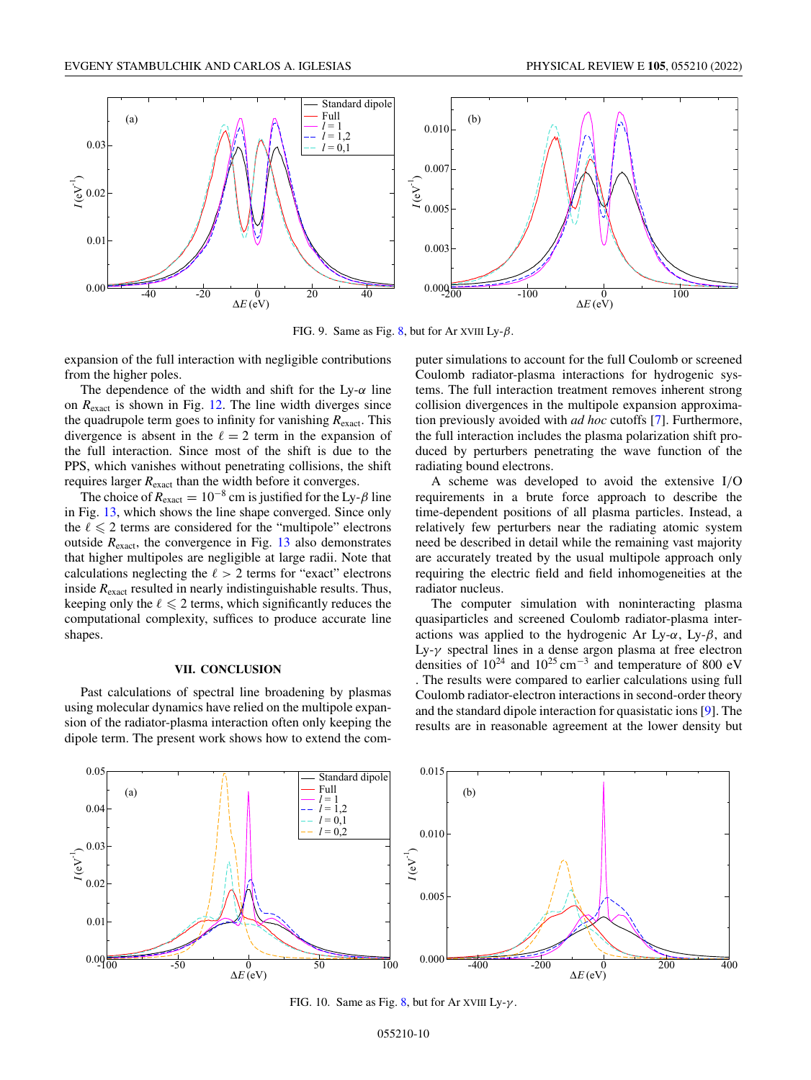<span id="page-9-0"></span>

FIG. 9. Same as Fig. [8,](#page-8-0) but for Ar XVIII  $Ly-\beta$ .

expansion of the full interaction with negligible contributions from the higher poles.

The dependence of the width and shift for the Ly- $\alpha$  line on *R*exact is shown in Fig. [12.](#page-10-0) The line width diverges since the quadrupole term goes to infinity for vanishing  $R_{\text{exact}}$ . This divergence is absent in the  $\ell = 2$  term in the expansion of the full interaction. Since most of the shift is due to the PPS, which vanishes without penetrating collisions, the shift requires larger  $R_{\text{exact}}$  than the width before it converges.

The choice of  $R_{\text{exact}} = 10^{-8}$  cm is justified for the Ly- $\beta$  line in Fig. [13,](#page-10-0) which shows the line shape converged. Since only the  $\ell \leq 2$  terms are considered for the "multipole" electrons outside  $R_{\text{exact}}$ , the convergence in Fig. [13](#page-10-0) also demonstrates that higher multipoles are negligible at large radii. Note that calculations neglecting the  $\ell > 2$  terms for "exact" electrons inside *R*exact resulted in nearly indistinguishable results. Thus, keeping only the  $\ell \leq 2$  terms, which significantly reduces the computational complexity, suffices to produce accurate line shapes.

#### **VII. CONCLUSION**

Past calculations of spectral line broadening by plasmas using molecular dynamics have relied on the multipole expansion of the radiator-plasma interaction often only keeping the dipole term. The present work shows how to extend the computer simulations to account for the full Coulomb or screened Coulomb radiator-plasma interactions for hydrogenic systems. The full interaction treatment removes inherent strong collision divergences in the multipole expansion approximation previously avoided with *ad hoc* cutoffs [\[7\]](#page-14-0). Furthermore, the full interaction includes the plasma polarization shift produced by perturbers penetrating the wave function of the radiating bound electrons.

A scheme was developed to avoid the extensive I/O requirements in a brute force approach to describe the time-dependent positions of all plasma particles. Instead, a relatively few perturbers near the radiating atomic system need be described in detail while the remaining vast majority are accurately treated by the usual multipole approach only requiring the electric field and field inhomogeneities at the radiator nucleus.

The computer simulation with noninteracting plasma quasiparticles and screened Coulomb radiator-plasma interactions was applied to the hydrogenic Ar Ly- $\alpha$ , Ly- $\beta$ , and Ly-γ spectral lines in a dense argon plasma at free electron densities of  $10^{24}$  and  $10^{25}$  cm<sup>-3</sup> and temperature of 800 eV . The results were compared to earlier calculations using full Coulomb radiator-electron interactions in second-order theory and the standard dipole interaction for quasistatic ions [\[9\]](#page-14-0). The results are in reasonable agreement at the lower density but



FIG. 10. Same as Fig. [8,](#page-8-0) but for Ar XVIII Ly- $\gamma$ .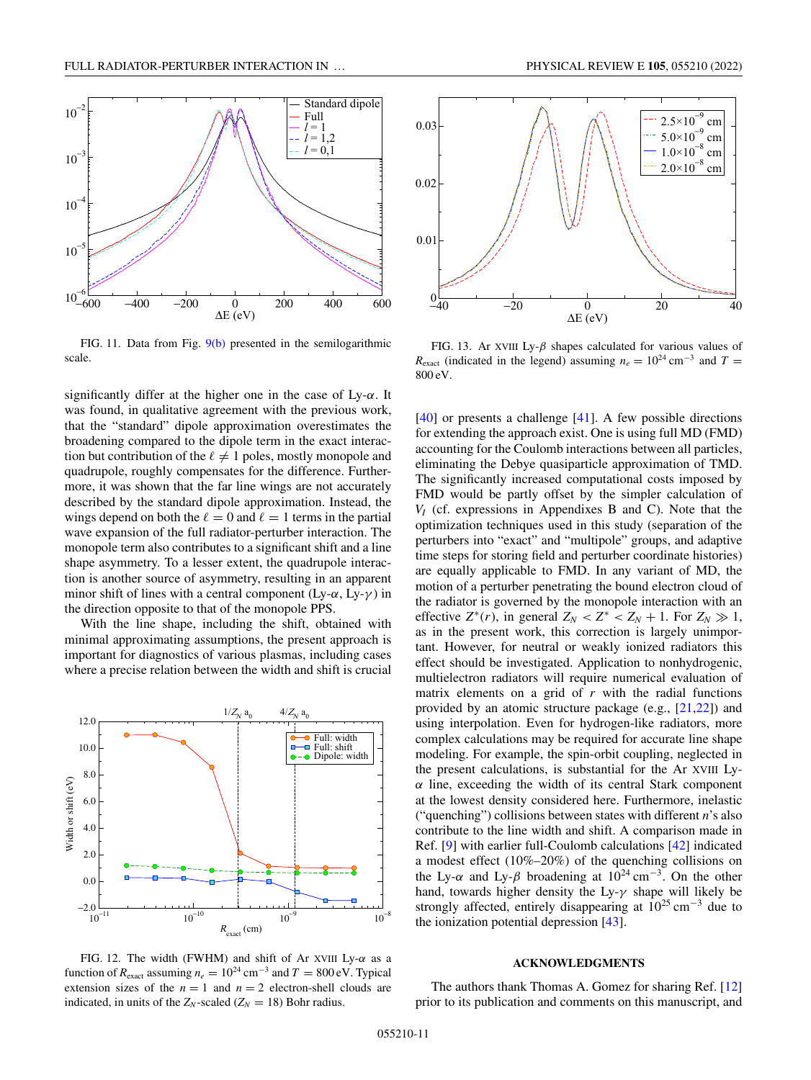<span id="page-10-0"></span>

FIG. 11. Data from Fig. [9\(b\)](#page-9-0) presented in the semilogarithmic scale.

significantly differ at the higher one in the case of  $Ly-\alpha$ . It was found, in qualitative agreement with the previous work, that the "standard" dipole approximation overestimates the broadening compared to the dipole term in the exact interaction but contribution of the  $\ell \neq 1$  poles, mostly monopole and quadrupole, roughly compensates for the difference. Furthermore, it was shown that the far line wings are not accurately described by the standard dipole approximation. Instead, the wings depend on both the  $\ell = 0$  and  $\ell = 1$  terms in the partial wave expansion of the full radiator-perturber interaction. The monopole term also contributes to a significant shift and a line shape asymmetry. To a lesser extent, the quadrupole interaction is another source of asymmetry, resulting in an apparent minor shift of lines with a central component (Ly- $\alpha$ , Ly- $\gamma$ ) in the direction opposite to that of the monopole PPS.

With the line shape, including the shift, obtained with minimal approximating assumptions, the present approach is important for diagnostics of various plasmas, including cases where a precise relation between the width and shift is crucial



FIG. 12. The width (FWHM) and shift of Ar XVIII Ly- $\alpha$  as a function of  $R_{\text{exact}}$  assuming  $n_e = 10^{24} \text{ cm}^{-3}$  and  $T = 800 \text{ eV}$ . Typical extension sizes of the  $n = 1$  and  $n = 2$  electron-shell clouds are indicated, in units of the  $Z_N$ -scaled ( $Z_N = 18$ ) Bohr radius.



FIG. 13. Ar XVIII Ly- $\beta$  shapes calculated for various values of  $R_{\text{exact}}$  (indicated in the legend) assuming  $n_e = 10^{24} \text{ cm}^{-3}$  and  $T =$ 800 eV.

[\[40\]](#page-15-0) or presents a challenge [\[41\]](#page-15-0). A few possible directions for extending the approach exist. One is using full MD (FMD) accounting for the Coulomb interactions between all particles, eliminating the Debye quasiparticle approximation of TMD. The significantly increased computational costs imposed by FMD would be partly offset by the simpler calculation of *VI* (cf. expressions in Appendixes B and C). Note that the optimization techniques used in this study (separation of the perturbers into "exact" and "multipole" groups, and adaptive time steps for storing field and perturber coordinate histories) are equally applicable to FMD. In any variant of MD, the motion of a perturber penetrating the bound electron cloud of the radiator is governed by the monopole interaction with an effective  $Z^*(r)$ , in general  $Z_N < Z^* < Z_N + 1$ . For  $Z_N \gg 1$ , as in the present work, this correction is largely unimportant. However, for neutral or weakly ionized radiators this effect should be investigated. Application to nonhydrogenic, multielectron radiators will require numerical evaluation of matrix elements on a grid of *r* with the radial functions provided by an atomic structure package (e.g., [\[21,22\]](#page-14-0)) and using interpolation. Even for hydrogen-like radiators, more complex calculations may be required for accurate line shape modeling. For example, the spin-orbit coupling, neglected in the present calculations, is substantial for the Ar XVIII Ly- $\alpha$  line, exceeding the width of its central Stark component at the lowest density considered here. Furthermore, inelastic ("quenching") collisions between states with different *n*'s also contribute to the line width and shift. A comparison made in Ref. [\[9\]](#page-14-0) with earlier full-Coulomb calculations [\[42\]](#page-15-0) indicated a modest effect (10%–20%) of the quenching collisions on the Ly- $\alpha$  and Ly- $\beta$  broadening at  $10^{24}$  cm<sup>-3</sup>. On the other hand, towards higher density the Ly- $\gamma$  shape will likely be strongly affected, entirely disappearing at  $10^{25}$  cm<sup>-3</sup> due to the ionization potential depression [\[43\]](#page-15-0).

#### **ACKNOWLEDGMENTS**

The authors thank Thomas A. Gomez for sharing Ref. [\[12\]](#page-14-0) prior to its publication and comments on this manuscript, and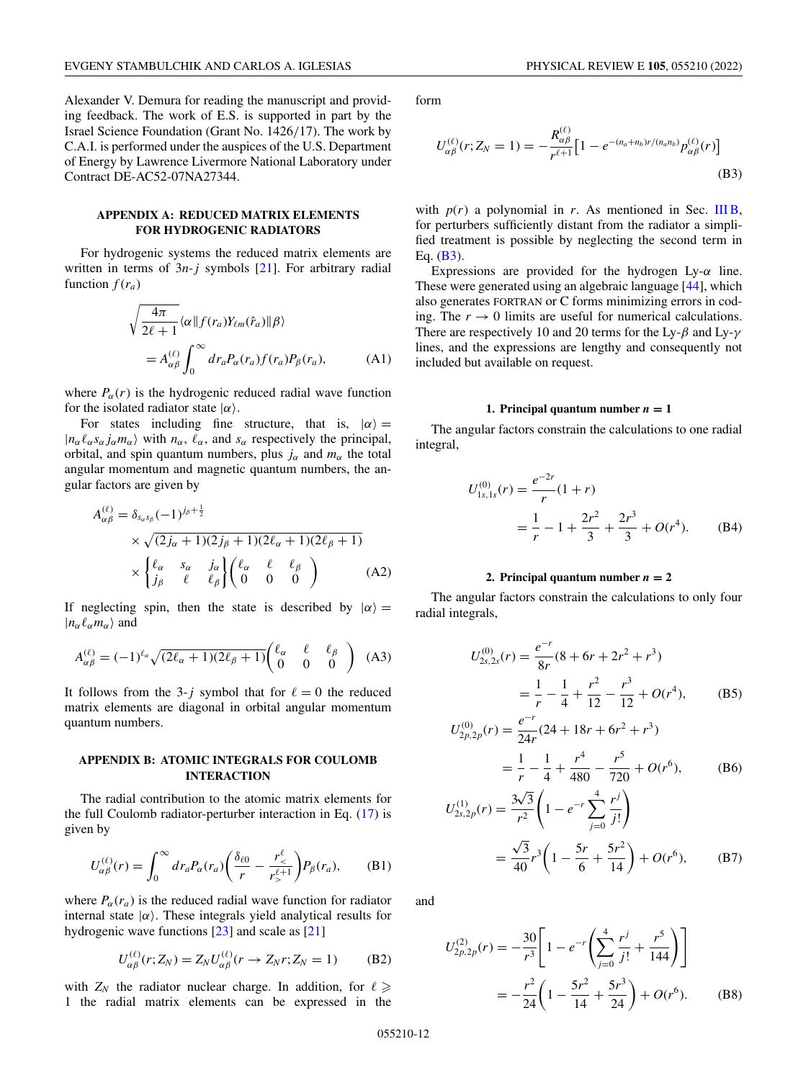<span id="page-11-0"></span>Alexander V. Demura for reading the manuscript and providing feedback. The work of E.S. is supported in part by the Israel Science Foundation (Grant No. 1426/17). The work by C.A.I. is performed under the auspices of the U.S. Department of Energy by Lawrence Livermore National Laboratory under Contract DE-AC52-07NA27344.

## **APPENDIX A: REDUCED MATRIX ELEMENTS FOR HYDROGENIC RADIATORS**

For hydrogenic systems the reduced matrix elements are written in terms of 3*n*-*j* symbols [\[21\]](#page-14-0). For arbitrary radial function  $f(r_a)$ 

$$
\sqrt{\frac{4\pi}{2\ell+1}} \langle \alpha \| f(r_a) Y_{\ell m}(\hat{r}_a) \| \beta \rangle
$$
  
=  $A_{\alpha\beta}^{(\ell)} \int_0^\infty dr_a P_\alpha(r_a) f(r_a) P_\beta(r_a),$  (A1)

where  $P_{\alpha}(r)$  is the hydrogenic reduced radial wave function for the isolated radiator state  $|\alpha\rangle$ .

For states including fine structure, that is,  $|\alpha\rangle =$  $|n_{\alpha}\ell_{\alpha} s_{\alpha} j_{\alpha} m_{\alpha}\rangle$  with  $n_{\alpha}$ ,  $\ell_{\alpha}$ , and  $s_{\alpha}$  respectively the principal, orbital, and spin quantum numbers, plus  $j_{\alpha}$  and  $m_{\alpha}$  the total angular momentum and magnetic quantum numbers, the angular factors are given by

$$
A_{\alpha\beta}^{(\ell)} = \delta_{s_{\alpha}s_{\beta}}(-1)^{j_{\beta}+\frac{1}{2}}
$$
  
 
$$
\times \sqrt{(2j_{\alpha}+1)(2j_{\beta}+1)(2\ell_{\alpha}+1)(2\ell_{\beta}+1)}
$$
  
 
$$
\times \begin{cases} \ell_{\alpha} & s_{\alpha} & j_{\alpha} \\ j_{\beta} & \ell & \ell_{\beta} \end{cases} \begin{pmatrix} \ell_{\alpha} & \ell & \ell_{\beta} \\ 0 & 0 & 0 \end{pmatrix}
$$
 (A2)

If neglecting spin, then the state is described by  $|\alpha\rangle =$  $|n_{\alpha} \ell_{\alpha} m_{\alpha} \rangle$  and

$$
A_{\alpha\beta}^{(\ell)} = (-1)^{\ell_{\alpha}} \sqrt{(2\ell_{\alpha}+1)(2\ell_{\beta}+1)} \begin{pmatrix} \ell_{\alpha} & \ell & \ell_{\beta} \\ 0 & 0 & 0 \end{pmatrix}
$$
 (A3)

It follows from the 3-*j* symbol that for  $\ell = 0$  the reduced matrix elements are diagonal in orbital angular momentum quantum numbers.

## **APPENDIX B: ATOMIC INTEGRALS FOR COULOMB INTERACTION**

The radial contribution to the atomic matrix elements for the full Coulomb radiator-perturber interaction in Eq. [\(17\)](#page-2-0) is given by

$$
U_{\alpha\beta}^{(\ell)}(r) = \int_0^\infty dr_a P_\alpha(r_a) \left(\frac{\delta_{\ell 0}}{r} - \frac{r_<^{\ell}}{r_>^{\ell+1}}\right) P_\beta(r_a), \quad \text{(B1)}
$$

where  $P_\alpha(r_a)$  is the reduced radial wave function for radiator internal state  $|\alpha\rangle$ . These integrals yield analytical results for hydrogenic wave functions [\[23\]](#page-14-0) and scale as [\[21\]](#page-14-0)

$$
U_{\alpha\beta}^{(\ell)}(r; Z_N) = Z_N U_{\alpha\beta}^{(\ell)}(r \to Z_N r; Z_N = 1)
$$
 (B2)

with  $Z_N$  the radiator nuclear charge. In addition, for  $\ell \geqslant$ 1 the radial matrix elements can be expressed in the form

$$
U_{\alpha\beta}^{(\ell)}(r; Z_N = 1) = -\frac{R_{\alpha\beta}^{(\ell)}}{r^{\ell+1}} \Big[ 1 - e^{-(n_a + n_b)r/(n_a n_b)} p_{\alpha\beta}^{(\ell)}(r) \Big]
$$
(B3)

with  $p(r)$  a polynomial in *r*. As mentioned in Sec. [III B,](#page-2-0) for perturbers sufficiently distant from the radiator a simplified treatment is possible by neglecting the second term in Eq.  $(B3)$ .

Expressions are provided for the hydrogen Ly- $\alpha$  line. These were generated using an algebraic language [\[44\]](#page-15-0), which also generates FORTRAN or C forms minimizing errors in coding. The  $r \to 0$  limits are useful for numerical calculations. There are respectively 10 and 20 terms for the Ly- $\beta$  and Ly- $\gamma$ lines, and the expressions are lengthy and consequently not included but available on request.

#### **1. Principal quantum number**  $n = 1$

The angular factors constrain the calculations to one radial integral,

$$
U_{1s,1s}^{(0)}(r) = \frac{e^{-2r}}{r}(1+r)
$$
  
=  $\frac{1}{r} - 1 + \frac{2r^2}{3} + \frac{2r^3}{3} + O(r^4)$ . (B4)

#### 2. Principal quantum number  $n = 2$

The angular factors constrain the calculations to only four radial integrals,

$$
U_{2s,2s}^{(0)}(r) = \frac{e^{-r}}{8r}(8+6r+2r^2+r^3)
$$
  
=  $\frac{1}{r} - \frac{1}{4} + \frac{r^2}{12} - \frac{r^3}{12} + O(r^4)$ , (B5)

$$
U_{2p,2p}^{(0)}(r) = \frac{e^{-r}}{24r}(24 + 18r + 6r^2 + r^3)
$$

$$
= \frac{1}{r} - \frac{1}{4} + \frac{r^4}{480} - \frac{r^5}{720} + O(r^6),
$$
 (B6)

$$
U_{2s,2p}^{(1)}(r) = \frac{3\sqrt{3}}{r^2} \left( 1 - e^{-r} \sum_{j=0}^{4} \frac{r^j}{j!} \right)
$$
  
=  $\frac{\sqrt{3}}{40} r^3 \left( 1 - \frac{5r}{6} + \frac{5r^2}{14} \right) + O(r^6),$  (B7)

and

$$
U_{2p,2p}^{(2)}(r) = -\frac{30}{r^3} \left[ 1 - e^{-r} \left( \sum_{j=0}^4 \frac{r^j}{j!} + \frac{r^5}{144} \right) \right]
$$
  
=  $-\frac{r^2}{24} \left( 1 - \frac{5r^2}{14} + \frac{5r^3}{24} \right) + O(r^6).$  (B8)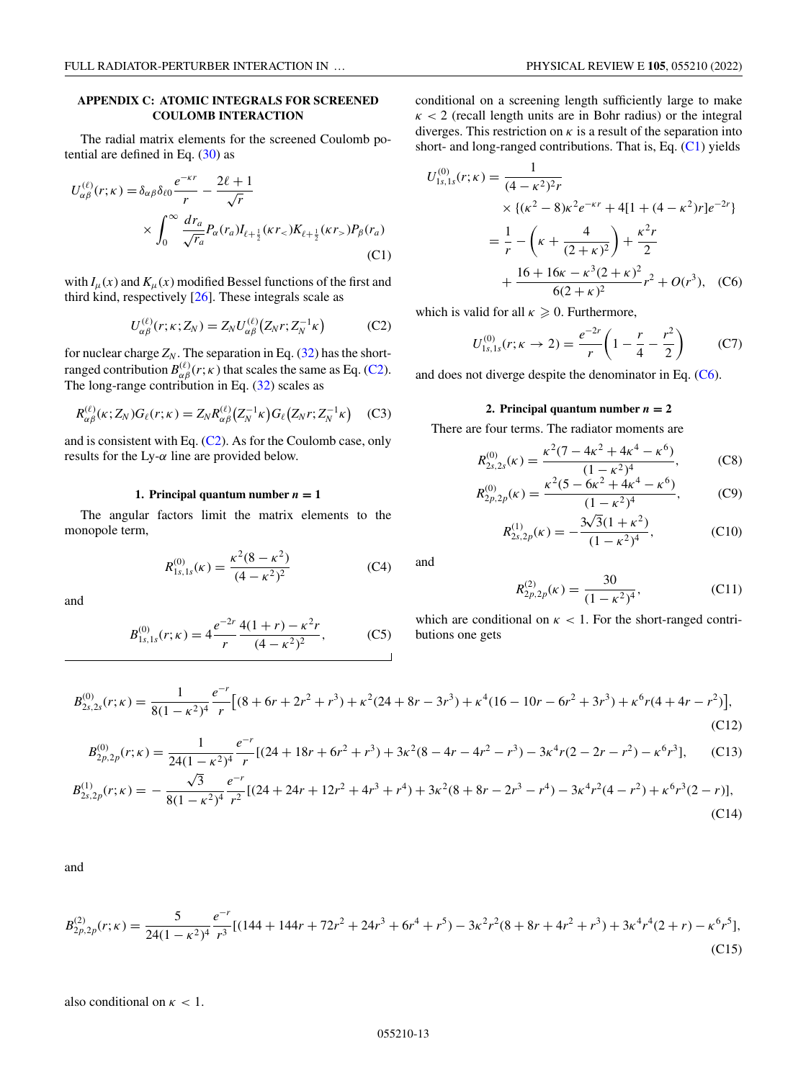## <span id="page-12-0"></span>**APPENDIX C: ATOMIC INTEGRALS FOR SCREENED COULOMB INTERACTION**

The radial matrix elements for the screened Coulomb potential are defined in Eq. [\(30\)](#page-3-0) as

$$
U_{\alpha\beta}^{(\ell)}(r;\kappa) = \delta_{\alpha\beta}\delta_{\ell 0} \frac{e^{-\kappa r}}{r} - \frac{2\ell+1}{\sqrt{r}}
$$
  
 
$$
\times \int_0^\infty \frac{dr_a}{\sqrt{r_a}} P_\alpha(r_a) I_{\ell+\frac{1}{2}}(\kappa r_<) K_{\ell+\frac{1}{2}}(\kappa r_>) P_\beta(r_a)
$$
(C1)

with  $I_\mu(x)$  and  $K_\mu(x)$  modified Bessel functions of the first and third kind, respectively [\[26\]](#page-14-0). These integrals scale as

$$
U_{\alpha\beta}^{(\ell)}(r;\kappa;Z_N) = Z_N U_{\alpha\beta}^{(\ell)}(Z_N r;Z_N^{-1}\kappa)
$$
 (C2)

for nuclear charge  $Z_N$ . The separation in Eq. [\(32\)](#page-3-0) has the shortranged contribution  $B_{\alpha\beta}^{(\ell)}(r;\kappa)$  that scales the same as Eq. (C2). The long-range contribution in Eq. [\(32\)](#page-3-0) scales as

$$
R_{\alpha\beta}^{(\ell)}(\kappa; Z_N) G_{\ell}(r; \kappa) = Z_N R_{\alpha\beta}^{(\ell)}(Z_N^{-1} \kappa) G_{\ell}(Z_N r; Z_N^{-1} \kappa) \quad \text{(C3)}
$$

and is consistent with Eq. (C2). As for the Coulomb case, only results for the Ly- $\alpha$  line are provided below.

## **1. Principal quantum number**  $n = 1$

The angular factors limit the matrix elements to the monopole term,

$$
R_{1s,1s}^{(0)}(\kappa) = \frac{\kappa^2 (8 - \kappa^2)}{(4 - \kappa^2)^2}
$$
 (C4)

and

$$
B_{1s,1s}^{(0)}(r;\kappa) = 4\frac{e^{-2r}}{r} \frac{4(1+r) - \kappa^2 r}{(4-\kappa^2)^2},
$$
 (C5)

conditional on a screening length sufficiently large to make  $\kappa$  < 2 (recall length units are in Bohr radius) or the integral diverges. This restriction on  $\kappa$  is a result of the separation into short- and long-ranged contributions. That is, Eq.  $(C1)$  yields

$$
U_{1s,1s}^{(0)}(r;\kappa) = \frac{1}{(4-\kappa^2)^2 r}
$$
  
 
$$
\times \{(\kappa^2 - 8)\kappa^2 e^{-\kappa r} + 4[1 + (4-\kappa^2)r]e^{-2r}\}
$$
  
 
$$
= \frac{1}{r} - \left(\kappa + \frac{4}{(2+\kappa)^2}\right) + \frac{\kappa^2 r}{2}
$$
  
 
$$
+ \frac{16 + 16\kappa - \kappa^3 (2+\kappa)^2}{6(2+\kappa)^2}r^2 + O(r^3), \quad (C6)
$$

which is valid for all  $\kappa \geqslant 0$ . Furthermore,

$$
U_{1s,1s}^{(0)}(r;\kappa \to 2) = \frac{e^{-2r}}{r} \left(1 - \frac{r}{4} - \frac{r^2}{2}\right) \tag{C7}
$$

and does not diverge despite the denominator in Eq. (C6).

### 2. Principal quantum number  $n = 2$

There are four terms. The radiator moments are

$$
R_{2s,2s}^{(0)}(\kappa) = \frac{\kappa^2 (7 - 4\kappa^2 + 4\kappa^4 - \kappa^6)}{(1 - \kappa^2)^4},
$$
 (C8)

$$
R_{2p,2p}^{(0)}(\kappa) = \frac{\kappa^2 (5 - 6\kappa^2 + 4\kappa^4 - \kappa^6)}{(1 - \kappa^2)^4},
$$
 (C9)

$$
R_{2s,2p}^{(1)}(\kappa) = -\frac{3\sqrt{3}(1+\kappa^2)}{(1-\kappa^2)^4},
$$
 (C10)

$$
R_{2p,2p}^{(2)}(\kappa) = \frac{30}{(1 - \kappa^2)^4},
$$
\n(C11)

which are conditional on  $\kappa$  < 1. For the short-ranged contributions one gets

$$
B_{2s,2s}^{(0)}(r;\kappa) = \frac{1}{8(1-\kappa^2)^4} \frac{e^{-r}}{r} \left[ (8+6r+2r^2+r^3) + \kappa^2(24+8r-3r^3) + \kappa^4(16-10r-6r^2+3r^3) + \kappa^6r(4+4r-r^2) \right],\tag{C12}
$$

$$
B_{2p,2p}^{(0)}(r;\kappa) = \frac{1}{24(1-\kappa^2)^4} \frac{e^{-r}}{r} [(24+18r+6r^2+r^3)+3\kappa^2(8-4r-4r^2-r^3)-3\kappa^4r(2-2r-r^2)-\kappa^6r^3],\tag{C13}
$$

$$
B_{2s,2p}^{(1)}(r;\kappa) = -\frac{\sqrt{3}}{8(1-\kappa^2)^4} \frac{e^{-r}}{r^2} [(24+24r+12r^2+4r^3+r^4)+3\kappa^2(8+8r-2r^3-r^4)-3\kappa^4r^2(4-r^2)+\kappa^6r^3(2-r)],
$$
\n(C14)

and

$$
B_{2p,2p}^{(2)}(r;\kappa) = \frac{5}{24(1-\kappa^2)^4} \frac{e^{-r}}{r^3} [(144 + 144r + 72r^2 + 24r^3 + 6r^4 + r^5) - 3\kappa^2 r^2 (8 + 8r + 4r^2 + r^3) + 3\kappa^4 r^4 (2+r) - \kappa^6 r^5],
$$
\n(C15)

also conditional on  $\kappa$  < 1.

and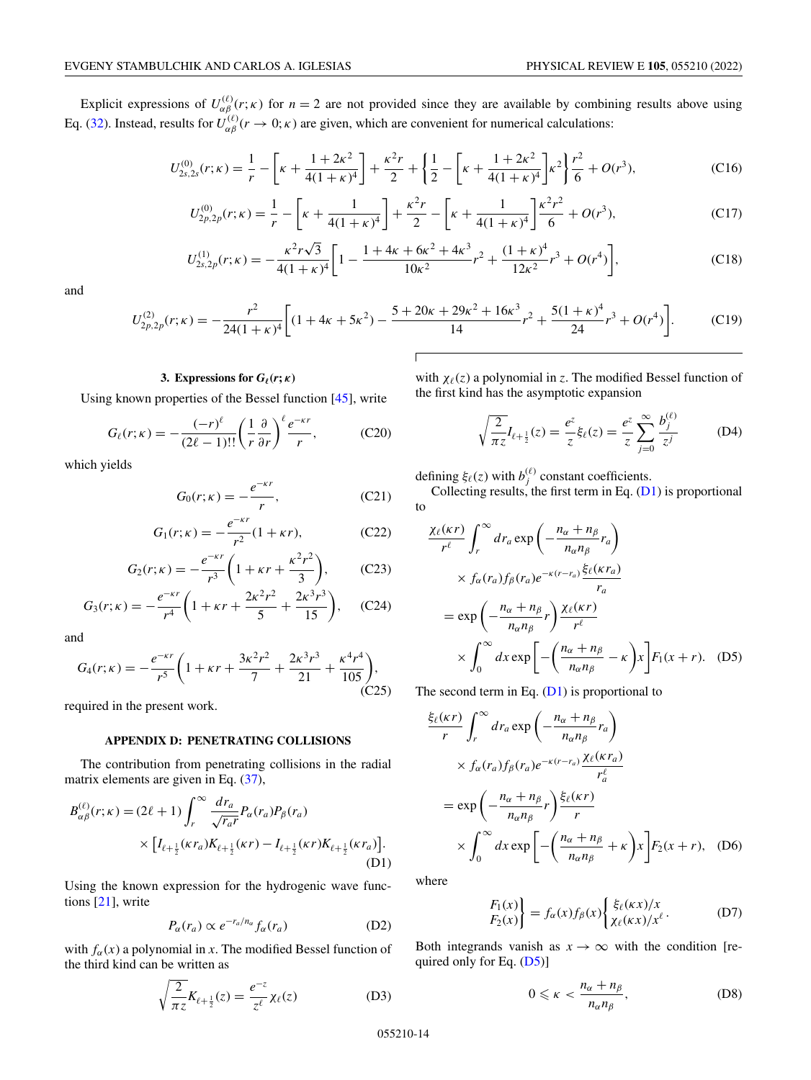<span id="page-13-0"></span>Explicit expressions of  $U_{\alpha\beta}^{(\ell)}(r;\kappa)$  for  $n=2$  are not provided since they are available by combining results above using Eq. [\(32\)](#page-3-0). Instead, results for  $U_{\alpha\beta}^{(\ell)}(r\to 0;\kappa)$  are given, which are convenient for numerical calculations:

$$
U_{2s,2s}^{(0)}(r;\kappa) = \frac{1}{r} - \left[\kappa + \frac{1+2\kappa^2}{4(1+\kappa)^4}\right] + \frac{\kappa^2 r}{2} + \left\{\frac{1}{2} - \left[\kappa + \frac{1+2\kappa^2}{4(1+\kappa)^4}\right]\kappa^2\right\} \frac{r^2}{6} + O(r^3),\tag{C16}
$$

$$
U_{2p,2p}^{(0)}(r;\kappa) = \frac{1}{r} - \left[\kappa + \frac{1}{4(1+\kappa)^4}\right] + \frac{\kappa^2 r}{2} - \left[\kappa + \frac{1}{4(1+\kappa)^4}\right] \frac{\kappa^2 r^2}{6} + O(r^3),\tag{C17}
$$

$$
U_{2s,2p}^{(1)}(r;\kappa) = -\frac{\kappa^2 r \sqrt{3}}{4(1+\kappa)^4} \left[ 1 - \frac{1+4\kappa + 6\kappa^2 + 4\kappa^3}{10\kappa^2} r^2 + \frac{(1+\kappa)^4}{12\kappa^2} r^3 + O(r^4) \right],\tag{C18}
$$

and

$$
U_{2p,2p}^{(2)}(r;\kappa) = -\frac{r^2}{24(1+\kappa)^4} \bigg[ (1+4\kappa+5\kappa^2) - \frac{5+20\kappa+29\kappa^2+16\kappa^3}{14}r^2 + \frac{5(1+\kappa)^4}{24}r^3 + O(r^4) \bigg].
$$
 (C19)

## **3.** Expressions for  $G_{\ell}(r; \kappa)$

Using known properties of the Bessel function [\[45\]](#page-15-0), write

$$
G_{\ell}(r;\kappa) = -\frac{(-r)^{\ell}}{(2\ell-1)!!} \left(\frac{1}{r} \frac{\partial}{\partial r}\right)^{\ell} \frac{e^{-\kappa r}}{r},\tag{C20}
$$

which yields

$$
G_0(r;\kappa) = -\frac{e^{-\kappa r}}{r},\qquad (C21)
$$

$$
G_1(r; \kappa) = -\frac{e^{-\kappa r}}{r^2} (1 + \kappa r), \tag{C22}
$$

$$
G_2(r; \kappa) = -\frac{e^{-\kappa r}}{r^3} \left(1 + \kappa r + \frac{\kappa^2 r^2}{3}\right), \quad (C23)
$$

$$
G_3(r; \kappa) = -\frac{e^{-\kappa r}}{r^4} \left( 1 + \kappa r + \frac{2\kappa^2 r^2}{5} + \frac{2\kappa^3 r^3}{15} \right), \quad \text{(C24)}
$$

and

$$
G_4(r; \kappa) = -\frac{e^{-\kappa r}}{r^5} \left( 1 + \kappa r + \frac{3\kappa^2 r^2}{7} + \frac{2\kappa^3 r^3}{21} + \frac{\kappa^4 r^4}{105} \right),\tag{C25}
$$

required in the present work.

### **APPENDIX D: PENETRATING COLLISIONS**

The contribution from penetrating collisions in the radial matrix elements are given in Eq.  $(37)$ ,

$$
B_{\alpha\beta}^{(\ell)}(r;\kappa) = (2\ell+1) \int_{r}^{\infty} \frac{dr_a}{\sqrt{r_a r}} P_{\alpha}(r_a) P_{\beta}(r_a)
$$
  
 
$$
\times \left[ I_{\ell+\frac{1}{2}}(\kappa r_a) K_{\ell+\frac{1}{2}}(\kappa r) - I_{\ell+\frac{1}{2}}(\kappa r) K_{\ell+\frac{1}{2}}(\kappa r_a) \right].
$$
 (D1)

Using the known expression for the hydrogenic wave functions [\[21\]](#page-14-0), write

$$
P_{\alpha}(r_a) \propto e^{-r_a/n_{\alpha}} f_{\alpha}(r_a) \tag{D2}
$$

with  $f_\alpha(x)$  a polynomial in *x*. The modified Bessel function of the third kind can be written as

$$
\sqrt{\frac{2}{\pi z}} K_{\ell + \frac{1}{2}}(z) = \frac{e^{-z}}{z^{\ell}} \chi_{\ell}(z)
$$
 (D3)

with  $\chi_{\ell}(z)$  a polynomial in *z*. The modified Bessel function of the first kind has the asymptotic expansion

$$
\sqrt{\frac{2}{\pi z}} I_{\ell + \frac{1}{2}}(z) = \frac{e^z}{z} \xi_{\ell}(z) = \frac{e^z}{z} \sum_{j=0}^{\infty} \frac{b_j^{(\ell)}}{z^j}
$$
(D4)

defining  $\xi_{\ell}(z)$  with  $b_j^{(\ell)}$  constant coefficients.

Collecting results, the first term in Eq.  $(D1)$  is proportional to

$$
\frac{\chi_{\ell}(\kappa r)}{r^{\ell}} \int_{r}^{\infty} dr_{a} \exp\left(-\frac{n_{\alpha} + n_{\beta}}{n_{\alpha}n_{\beta}} r_{a}\right)
$$
  
 
$$
\times f_{\alpha}(r_{a}) f_{\beta}(r_{a}) e^{-\kappa(r-r_{a})} \frac{\xi_{\ell}(\kappa r_{a})}{r_{a}}
$$
  

$$
= \exp\left(-\frac{n_{\alpha} + n_{\beta}}{n_{\alpha}n_{\beta}} r\right) \frac{\chi_{\ell}(\kappa r)}{r^{\ell}}
$$
  

$$
\times \int_{0}^{\infty} dx \exp\left[-\left(\frac{n_{\alpha} + n_{\beta}}{n_{\alpha}n_{\beta}} - \kappa\right) x\right] F_{1}(x+r). \quad (D5)
$$

The second term in Eq.  $(D1)$  is proportional to

$$
\frac{\xi_{\ell}(\kappa r)}{r} \int_{r}^{\infty} dr_{a} \exp\left(-\frac{n_{\alpha} + n_{\beta}}{n_{\alpha}n_{\beta}} r_{a}\right)
$$
  
 
$$
\times f_{\alpha}(r_{a}) f_{\beta}(r_{a}) e^{-\kappa(r-r_{a})} \frac{\chi_{\ell}(\kappa r_{a})}{r_{a}^{\ell}}
$$
  

$$
= \exp\left(-\frac{n_{\alpha} + n_{\beta}}{n_{\alpha}n_{\beta}} r\right) \frac{\xi_{\ell}(\kappa r)}{r}
$$
  

$$
\times \int_{0}^{\infty} dx \exp\left[-\left(\frac{n_{\alpha} + n_{\beta}}{n_{\alpha}n_{\beta}} + \kappa\right) x\right] F_{2}(x+r), \quad (D6)
$$

where

$$
\begin{aligned} \frac{F_1(x)}{F_2(x)} &= f_\alpha(x) f_\beta(x) \begin{cases} \xi_\ell(\kappa x) / x \\ \chi_\ell(\kappa x) / x^\ell \end{cases} \end{aligned} \tag{D7}
$$

Both integrands vanish as  $x \to \infty$  with the condition [required only for Eq. (D5)]

$$
0 \leqslant \kappa < \frac{n_{\alpha} + n_{\beta}}{n_{\alpha} n_{\beta}},\tag{D8}
$$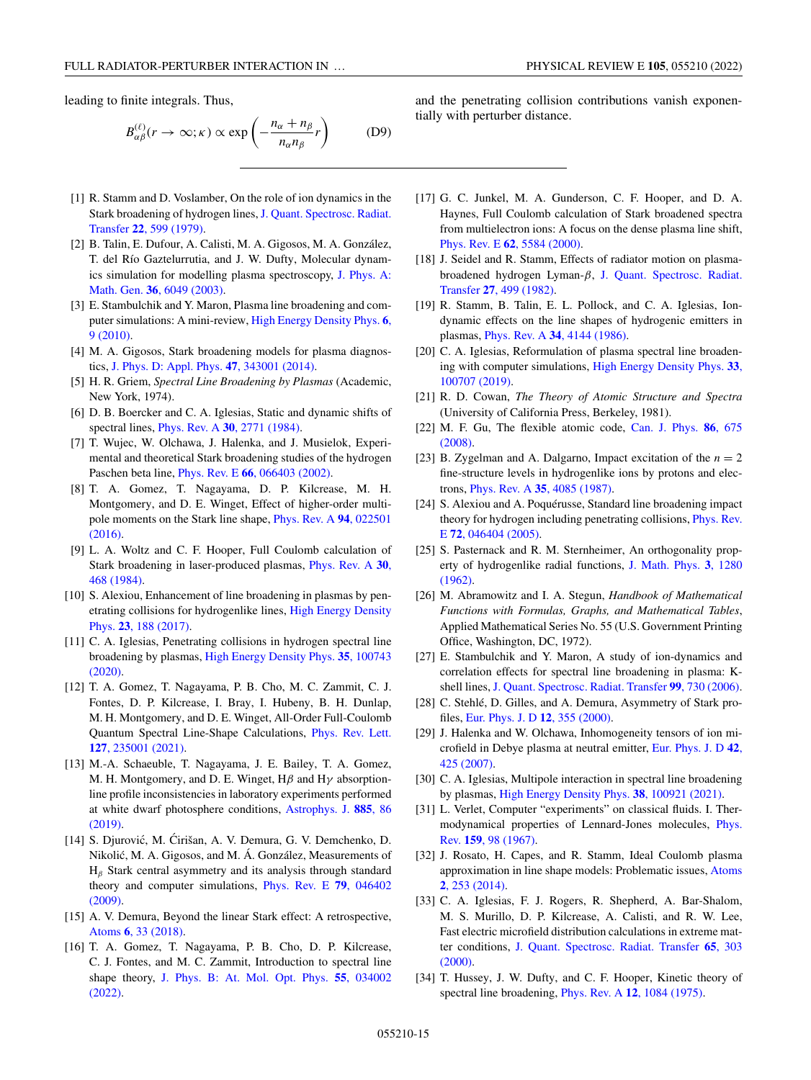<span id="page-14-0"></span>leading to finite integrals. Thus,

$$
B_{\alpha\beta}^{(\ell)}(r \to \infty; \kappa) \propto \exp\left(-\frac{n_{\alpha} + n_{\beta}}{n_{\alpha}n_{\beta}}r\right) \tag{D9}
$$

- [1] R. Stamm and D. Voslamber, On the role of ion dynamics in the [Stark broadening of hydrogen lines,](https://doi.org/10.1016/0022-4073(79)90049-9) J. Quant. Spectrosc. Radiat. Transfer **22**, 599 (1979).
- [2] B. Talin, E. Dufour, A. Calisti, M. A. Gigosos, M. A. González, T. del Río Gaztelurrutia, and J. W. Dufty, Molecular dynam[ics simulation for modelling plasma spectroscopy,](https://doi.org/10.1088/0305-4470/36/22/329) J. Phys. A: Math. Gen. **36**, 6049 (2003).
- [3] E. Stambulchik and Y. Maron, Plasma line broadening and com[puter simulations: A mini-review,](https://doi.org/10.1016/j.hedp.2009.07.001) High Energy Density Phys. **6**, 9 (2010).
- [4] M. A. Gigosos, Stark broadening models for plasma diagnostics, [J. Phys. D: Appl. Phys.](https://doi.org/10.1088/0022-3727/47/34/343001) **47**, 343001 (2014).
- [5] H. R. Griem, *Spectral Line Broadening by Plasmas* (Academic, New York, 1974).
- [6] D. B. Boercker and C. A. Iglesias, Static and dynamic shifts of spectral lines, Phys. Rev. A **30**[, 2771 \(1984\).](https://doi.org/10.1103/PhysRevA.30.2771)
- [7] T. Wujec, W. Olchawa, J. Halenka, and J. Musielok, Experimental and theoretical Stark broadening studies of the hydrogen Paschen beta line, Phys. Rev. E **66**[, 066403 \(2002\).](https://doi.org/10.1103/PhysRevE.66.066403)
- [8] T. A. Gomez, T. Nagayama, D. P. Kilcrease, M. H. Montgomery, and D. E. Winget, Effect of higher-order multi[pole moments on the Stark line shape,](https://doi.org/10.1103/PhysRevA.94.022501) Phys. Rev. A **94**, 022501 (2016).
- [9] L. A. Woltz and C. F. Hooper, Full Coulomb calculation of [Stark broadening in laser-produced plasmas,](https://doi.org/10.1103/PhysRevA.30.468) Phys. Rev. A **30**, 468 (1984).
- [10] S. Alexiou, Enhancement of line broadening in plasmas by pen[etrating collisions for hydrogenlike lines,](https://doi.org/10.1016/j.hedp.2017.05.003) High Energy Density Phys. **23**, 188 (2017).
- [11] C. A. Iglesias, Penetrating collisions in hydrogen spectral line broadening by plasmas, [High Energy Density Phys.](https://doi.org/10.1016/j.hedp.2020.100743) **35**, 100743 (2020).
- [12] T. A. Gomez, T. Nagayama, P. B. Cho, M. C. Zammit, C. J. Fontes, D. P. Kilcrease, I. Bray, I. Hubeny, B. H. Dunlap, M. H. Montgomery, and D. E. Winget, All-Order Full-Coulomb [Quantum Spectral Line-Shape Calculations,](https://doi.org/10.1103/PhysRevLett.127.235001) Phys. Rev. Lett. **127**, 235001 (2021).
- [13] M.-A. Schaeuble, T. Nagayama, J. E. Bailey, T. A. Gomez, M. H. Montgomery, and D. E. Winget,  $H\beta$  and  $H\gamma$  absorptionline profile inconsistencies in laboratory experiments performed [at white dwarf photosphere conditions,](https://doi.org/10.3847/1538-4357/ab479d) Astrophys. J. **885**, 86 (2019).
- [14] S. Djurović, M. Ćirišan, A. V. Demura, G. V. Demchenko, D. Nikolic, M. A. Gigosos, and M. Á. González, Measurements of ´  $H<sub>β</sub>$  Stark central asymmetry and its analysis through standard [theory and computer simulations,](https://doi.org/10.1103/PhysRevE.79.046402) Phys. Rev. E **79**, 046402 (2009).
- [15] A. V. Demura, Beyond the linear Stark effect: A retrospective, Atoms **6**[, 33 \(2018\).](https://doi.org/10.3390/atoms6020033)
- [16] T. A. Gomez, T. Nagayama, P. B. Cho, D. P. Kilcrease, C. J. Fontes, and M. C. Zammit, Introduction to spectral line shape theory, [J. Phys. B: At. Mol. Opt. Phys.](https://doi.org/10.1088/1361-6455/ac4f31) **55**, 034002 (2022).

and the penetrating collision contributions vanish exponentially with perturber distance.

- [17] G. C. Junkel, M. A. Gunderson, C. F. Hooper, and D. A. Haynes, Full Coulomb calculation of Stark broadened spectra from multielectron ions: A focus on the dense plasma line shift, Phys. Rev. E **62**[, 5584 \(2000\).](https://doi.org/10.1103/PhysRevE.62.5584)
- [18] J. Seidel and R. Stamm, Effects of radiator motion on plasma[broadened hydrogen Lyman-](https://doi.org/10.1016/0022-4073(82)90102-9)β, J. Quant. Spectrosc. Radiat. Transfer **27**, 499 (1982).
- [19] R. Stamm, B. Talin, E. L. Pollock, and C. A. Iglesias, Iondynamic effects on the line shapes of hydrogenic emitters in plasmas, Phys. Rev. A **34**[, 4144 \(1986\).](https://doi.org/10.1103/PhysRevA.34.4144)
- [20] C. A. Iglesias, Reformulation of plasma spectral line broaden[ing with computer simulations,](https://doi.org/10.1016/j.hedp.2019.100707) High Energy Density Phys. **33**, 100707 (2019).
- [21] R. D. Cowan, *The Theory of Atomic Structure and Spectra* (University of California Press, Berkeley, 1981).
- [22] [M. F. Gu, The flexible atomic code,](https://doi.org/10.1139/p07-197) Can. J. Phys. **86**, 675 (2008).
- [23] B. Zygelman and A. Dalgarno, Impact excitation of the  $n = 2$ fine-structure levels in hydrogenlike ions by protons and electrons, Phys. Rev. A **35**[, 4085 \(1987\).](https://doi.org/10.1103/PhysRevA.35.4085)
- [24] S. Alexiou and A. Poquérusse, Standard line broadening impact [theory for hydrogen including penetrating collisions,](https://doi.org/10.1103/PhysRevE.72.046404) Phys. Rev. E **72**, 046404 (2005).
- [25] S. Pasternack and R. M. Sternheimer, An orthogonality prop[erty of hydrogenlike radial functions,](https://doi.org/10.1063/1.1703871) J. Math. Phys. **3**, 1280 (1962).
- [26] M. Abramowitz and I. A. Stegun, *Handbook of Mathematical Functions with Formulas, Graphs, and Mathematical Tables*, Applied Mathematical Series No. 55 (U.S. Government Printing Office, Washington, DC, 1972).
- [27] E. Stambulchik and Y. Maron, A study of ion-dynamics and correlation effects for spectral line broadening in plasma: Kshell lines, [J. Quant. Spectrosc. Radiat. Transfer](https://doi.org/10.1016/j.jqsrt.2005.05.058) **99**, 730 (2006).
- [28] C. Stehlé, D. Gilles, and A. Demura, Asymmetry of Stark profiles, [Eur. Phys. J. D](https://doi.org/10.1007/s100530070032) **12**, 355 (2000).
- [29] J. Halenka and W. Olchawa, Inhomogeneity tensors of ion mi[crofield in Debye plasma at neutral emitter,](https://doi.org/10.1140/epjd/e2007-00039-3) Eur. Phys. J. D **42**, 425 (2007).
- [30] C. A. Iglesias, Multipole interaction in spectral line broadening by plasmas, [High Energy Density Phys.](https://doi.org/10.1016/j.hedp.2021.100921) **38**, 100921 (2021).
- [31] L. Verlet, Computer "experiments" on classical fluids. I. Ther[modynamical properties of Lennard-Jones molecules,](https://doi.org/10.1103/PhysRev.159.98) Phys. Rev. **159**, 98 (1967).
- [32] J. Rosato, H. Capes, and R. Stamm, Ideal Coulomb plasma [approximation in line shape models: Problematic issues,](https://doi.org/10.3390/atoms2020253) Atoms **2**, 253 (2014).
- [33] C. A. Iglesias, F. J. Rogers, R. Shepherd, A. Bar-Shalom, M. S. Murillo, D. P. Kilcrease, A. Calisti, and R. W. Lee, Fast electric microfield distribution calculations in extreme matter conditions, [J. Quant. Spectrosc. Radiat. Transfer](https://doi.org/10.1016/S0022-4073(99)00076-X) **65**, 303 (2000).
- [34] T. Hussey, J. W. Dufty, and C. F. Hooper, Kinetic theory of spectral line broadening, Phys. Rev. A **12**[, 1084 \(1975\).](https://doi.org/10.1103/PhysRevA.12.1084)